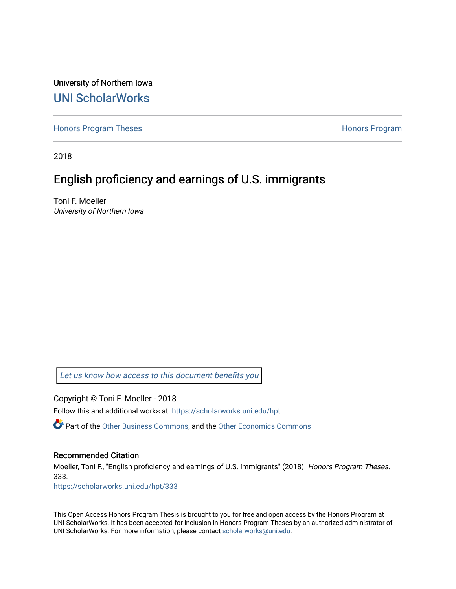University of Northern Iowa [UNI ScholarWorks](https://scholarworks.uni.edu/) 

[Honors Program Theses](https://scholarworks.uni.edu/hpt) **Honors Program** Honors Program

2018

### English proficiency and earnings of U.S. immigrants

Toni F. Moeller University of Northern Iowa

[Let us know how access to this document benefits you](https://scholarworks.uni.edu/feedback_form.html) 

Copyright © Toni F. Moeller - 2018

Follow this and additional works at: [https://scholarworks.uni.edu/hpt](https://scholarworks.uni.edu/hpt?utm_source=scholarworks.uni.edu%2Fhpt%2F333&utm_medium=PDF&utm_campaign=PDFCoverPages) 

Part of the [Other Business Commons](http://network.bepress.com/hgg/discipline/647?utm_source=scholarworks.uni.edu%2Fhpt%2F333&utm_medium=PDF&utm_campaign=PDFCoverPages), and the [Other Economics Commons](http://network.bepress.com/hgg/discipline/353?utm_source=scholarworks.uni.edu%2Fhpt%2F333&utm_medium=PDF&utm_campaign=PDFCoverPages) 

#### Recommended Citation

Moeller, Toni F., "English proficiency and earnings of U.S. immigrants" (2018). Honors Program Theses. 333.

[https://scholarworks.uni.edu/hpt/333](https://scholarworks.uni.edu/hpt/333?utm_source=scholarworks.uni.edu%2Fhpt%2F333&utm_medium=PDF&utm_campaign=PDFCoverPages) 

This Open Access Honors Program Thesis is brought to you for free and open access by the Honors Program at UNI ScholarWorks. It has been accepted for inclusion in Honors Program Theses by an authorized administrator of UNI ScholarWorks. For more information, please contact [scholarworks@uni.edu.](mailto:scholarworks@uni.edu)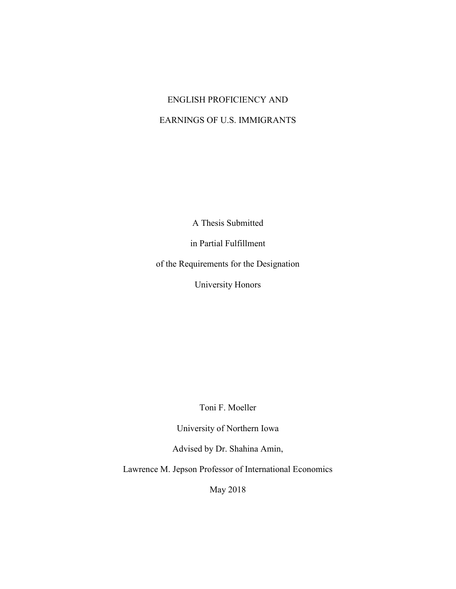# ENGLISH PROFICIENCY AND EARNINGS OF U.S. IMMIGRANTS

A Thesis Submitted

in Partial Fulfillment

of the Requirements for the Designation

University Honors

Toni F. Moeller

University of Northern Iowa

Advised by Dr. Shahina Amin,

Lawrence M. Jepson Professor of International Economics

May 2018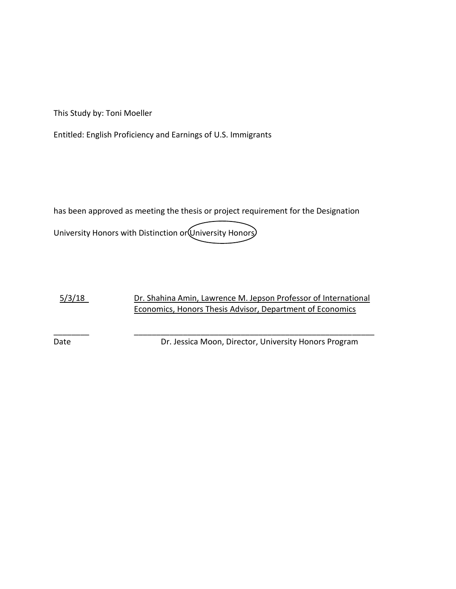This Study by: Toni Moeller

Entitled: English Proficiency and Earnings of U.S. Immigrants

has been approved as meeting the thesis or project requirement for the Designation University Honors with Distinction or University Honors

5/3/18 Dr. Shahina Amin, Lawrence M. Jepson Professor of International Economics, Honors Thesis Advisor, Department of Economics

\_\_\_\_\_\_\_\_ \_\_\_\_\_\_\_\_\_\_\_\_\_\_\_\_\_\_\_\_\_\_\_\_\_\_\_\_\_\_\_\_\_\_\_\_\_\_\_\_\_\_\_\_\_\_\_\_\_\_\_\_\_\_

Date Date Dr. Jessica Moon, Director, University Honors Program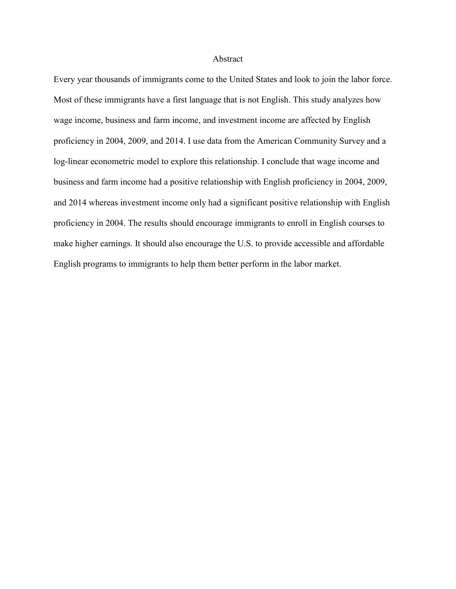#### Abstract

Every year thousands of immigrants come to the United States and look to join the labor force. Most of these immigrants have a first language that is not English. This study analyzes how wage income, business and farm income, and investment income are affected by English proficiency in 2004, 2009, and 2014. I use data from the American Community Survey and a log-linear econometric model to explore this relationship. I conclude that wage income and business and farm income had a positive relationship with English proficiency in 2004, 2009, and 2014 whereas investment income only had a significant positive relationship with English proficiency in 2004. The results should encourage immigrants to enroll in English courses to make higher earnings. It should also encourage the U.S. to provide accessible and affordable English programs to immigrants to help them better perform in the labor market.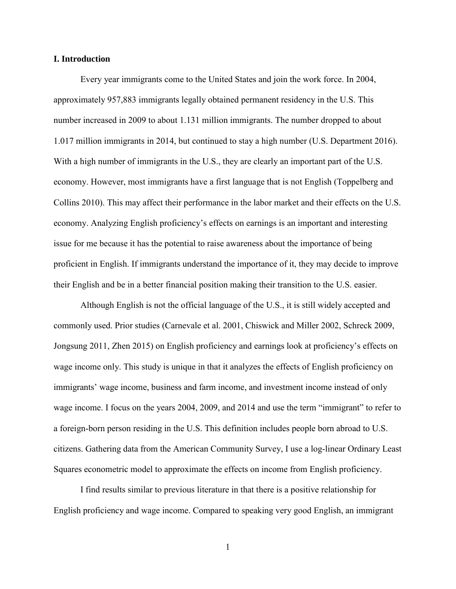#### **I. Introduction**

Every year immigrants come to the United States and join the work force. In 2004, approximately 957,883 immigrants legally obtained permanent residency in the U.S. This number increased in 2009 to about 1.131 million immigrants. The number dropped to about 1.017 million immigrants in 2014, but continued to stay a high number (U.S. Department 2016). With a high number of immigrants in the U.S., they are clearly an important part of the U.S. economy. However, most immigrants have a first language that is not English (Toppelberg and Collins 2010). This may affect their performance in the labor market and their effects on the U.S. economy. Analyzing English proficiency's effects on earnings is an important and interesting issue for me because it has the potential to raise awareness about the importance of being proficient in English. If immigrants understand the importance of it, they may decide to improve their English and be in a better financial position making their transition to the U.S. easier.

Although English is not the official language of the U.S., it is still widely accepted and commonly used. Prior studies (Carnevale et al. 2001, Chiswick and Miller 2002, Schreck 2009, Jongsung 2011, Zhen 2015) on English proficiency and earnings look at proficiency's effects on wage income only. This study is unique in that it analyzes the effects of English proficiency on immigrants' wage income, business and farm income, and investment income instead of only wage income. I focus on the years 2004, 2009, and 2014 and use the term "immigrant" to refer to a foreign-born person residing in the U.S. This definition includes people born abroad to U.S. citizens. Gathering data from the American Community Survey, I use a log-linear Ordinary Least Squares econometric model to approximate the effects on income from English proficiency.

I find results similar to previous literature in that there is a positive relationship for English proficiency and wage income. Compared to speaking very good English, an immigrant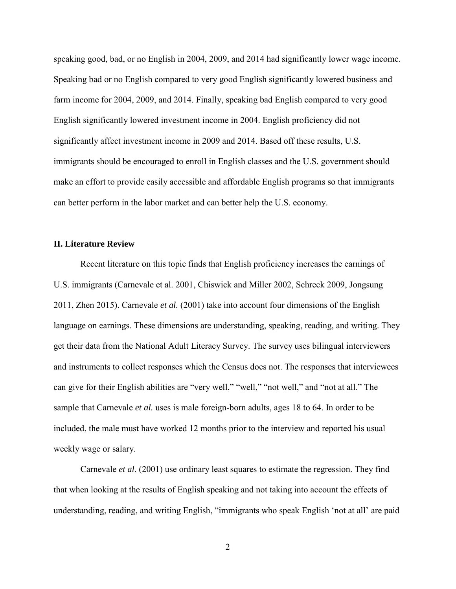speaking good, bad, or no English in 2004, 2009, and 2014 had significantly lower wage income. Speaking bad or no English compared to very good English significantly lowered business and farm income for 2004, 2009, and 2014. Finally, speaking bad English compared to very good English significantly lowered investment income in 2004. English proficiency did not significantly affect investment income in 2009 and 2014. Based off these results, U.S. immigrants should be encouraged to enroll in English classes and the U.S. government should make an effort to provide easily accessible and affordable English programs so that immigrants can better perform in the labor market and can better help the U.S. economy.

#### **II. Literature Review**

Recent literature on this topic finds that English proficiency increases the earnings of U.S. immigrants (Carnevale et al. 2001, Chiswick and Miller 2002, Schreck 2009, Jongsung 2011, Zhen 2015). Carnevale *et al.* (2001) take into account four dimensions of the English language on earnings. These dimensions are understanding, speaking, reading, and writing. They get their data from the National Adult Literacy Survey. The survey uses bilingual interviewers and instruments to collect responses which the Census does not. The responses that interviewees can give for their English abilities are "very well," "well," "not well," and "not at all." The sample that Carnevale *et al.* uses is male foreign-born adults, ages 18 to 64. In order to be included, the male must have worked 12 months prior to the interview and reported his usual weekly wage or salary.

Carnevale *et al.* (2001) use ordinary least squares to estimate the regression. They find that when looking at the results of English speaking and not taking into account the effects of understanding, reading, and writing English, "immigrants who speak English 'not at all' are paid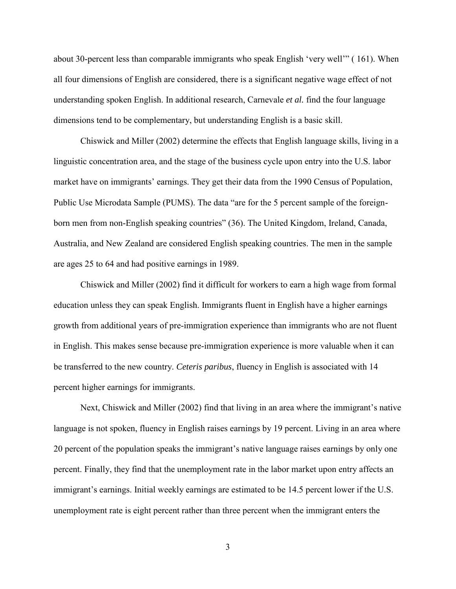about 30-percent less than comparable immigrants who speak English 'very well'" ( 161). When all four dimensions of English are considered, there is a significant negative wage effect of not understanding spoken English. In additional research, Carnevale *et al.* find the four language dimensions tend to be complementary, but understanding English is a basic skill.

Chiswick and Miller (2002) determine the effects that English language skills, living in a linguistic concentration area, and the stage of the business cycle upon entry into the U.S. labor market have on immigrants' earnings. They get their data from the 1990 Census of Population, Public Use Microdata Sample (PUMS). The data "are for the 5 percent sample of the foreignborn men from non-English speaking countries" (36). The United Kingdom, Ireland, Canada, Australia, and New Zealand are considered English speaking countries. The men in the sample are ages 25 to 64 and had positive earnings in 1989.

Chiswick and Miller (2002) find it difficult for workers to earn a high wage from formal education unless they can speak English. Immigrants fluent in English have a higher earnings growth from additional years of pre-immigration experience than immigrants who are not fluent in English. This makes sense because pre-immigration experience is more valuable when it can be transferred to the new country. *Ceteris paribus*, fluency in English is associated with 14 percent higher earnings for immigrants.

Next, Chiswick and Miller (2002) find that living in an area where the immigrant's native language is not spoken, fluency in English raises earnings by 19 percent. Living in an area where 20 percent of the population speaks the immigrant's native language raises earnings by only one percent. Finally, they find that the unemployment rate in the labor market upon entry affects an immigrant's earnings. Initial weekly earnings are estimated to be 14.5 percent lower if the U.S. unemployment rate is eight percent rather than three percent when the immigrant enters the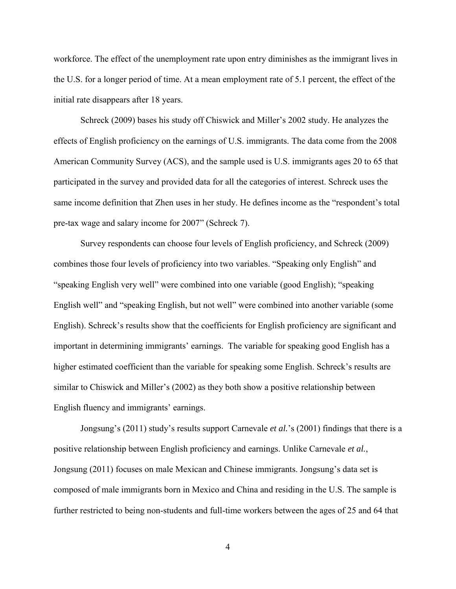workforce. The effect of the unemployment rate upon entry diminishes as the immigrant lives in the U.S. for a longer period of time. At a mean employment rate of 5.1 percent, the effect of the initial rate disappears after 18 years.

Schreck (2009) bases his study off Chiswick and Miller's 2002 study. He analyzes the effects of English proficiency on the earnings of U.S. immigrants. The data come from the 2008 American Community Survey (ACS), and the sample used is U.S. immigrants ages 20 to 65 that participated in the survey and provided data for all the categories of interest. Schreck uses the same income definition that Zhen uses in her study. He defines income as the "respondent's total pre-tax wage and salary income for 2007" (Schreck 7).

Survey respondents can choose four levels of English proficiency, and Schreck (2009) combines those four levels of proficiency into two variables. "Speaking only English" and "speaking English very well" were combined into one variable (good English); "speaking English well" and "speaking English, but not well" were combined into another variable (some English). Schreck's results show that the coefficients for English proficiency are significant and important in determining immigrants' earnings. The variable for speaking good English has a higher estimated coefficient than the variable for speaking some English. Schreck's results are similar to Chiswick and Miller's (2002) as they both show a positive relationship between English fluency and immigrants' earnings.

Jongsung's (2011) study's results support Carnevale *et al.*'s (2001) findings that there is a positive relationship between English proficiency and earnings. Unlike Carnevale *et al.*, Jongsung (2011) focuses on male Mexican and Chinese immigrants. Jongsung's data set is composed of male immigrants born in Mexico and China and residing in the U.S. The sample is further restricted to being non-students and full-time workers between the ages of 25 and 64 that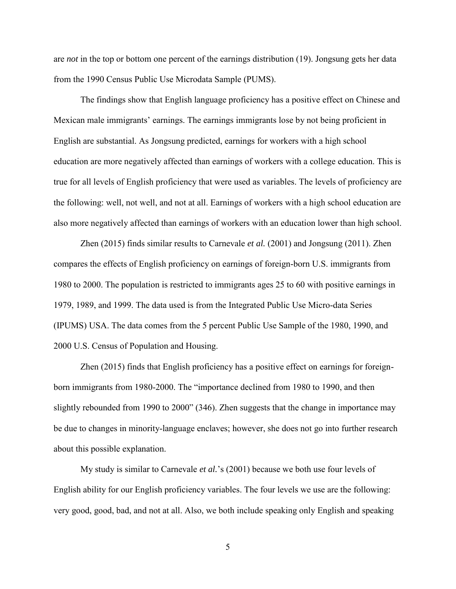are *not* in the top or bottom one percent of the earnings distribution (19). Jongsung gets her data from the 1990 Census Public Use Microdata Sample (PUMS).

The findings show that English language proficiency has a positive effect on Chinese and Mexican male immigrants' earnings. The earnings immigrants lose by not being proficient in English are substantial. As Jongsung predicted, earnings for workers with a high school education are more negatively affected than earnings of workers with a college education. This is true for all levels of English proficiency that were used as variables. The levels of proficiency are the following: well, not well, and not at all. Earnings of workers with a high school education are also more negatively affected than earnings of workers with an education lower than high school.

Zhen (2015) finds similar results to Carnevale *et al.* (2001) and Jongsung (2011). Zhen compares the effects of English proficiency on earnings of foreign-born U.S. immigrants from 1980 to 2000. The population is restricted to immigrants ages 25 to 60 with positive earnings in 1979, 1989, and 1999. The data used is from the Integrated Public Use Micro-data Series (IPUMS) USA. The data comes from the 5 percent Public Use Sample of the 1980, 1990, and 2000 U.S. Census of Population and Housing.

Zhen (2015) finds that English proficiency has a positive effect on earnings for foreignborn immigrants from 1980-2000. The "importance declined from 1980 to 1990, and then slightly rebounded from 1990 to 2000" (346). Zhen suggests that the change in importance may be due to changes in minority-language enclaves; however, she does not go into further research about this possible explanation.

My study is similar to Carnevale *et al.*'s (2001) because we both use four levels of English ability for our English proficiency variables. The four levels we use are the following: very good, good, bad, and not at all. Also, we both include speaking only English and speaking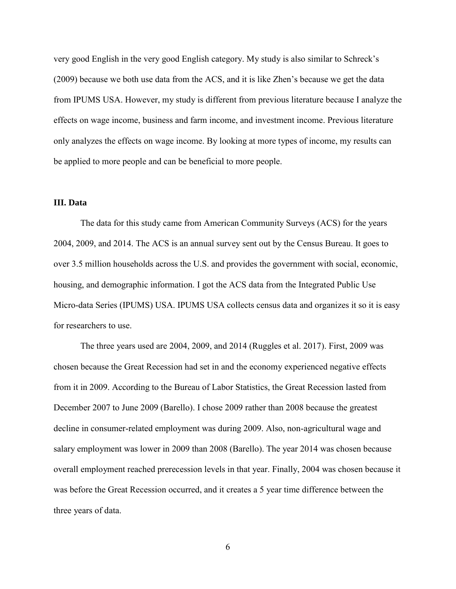very good English in the very good English category. My study is also similar to Schreck's (2009) because we both use data from the ACS, and it is like Zhen's because we get the data from IPUMS USA. However, my study is different from previous literature because I analyze the effects on wage income, business and farm income, and investment income. Previous literature only analyzes the effects on wage income. By looking at more types of income, my results can be applied to more people and can be beneficial to more people.

#### **III. Data**

The data for this study came from American Community Surveys (ACS) for the years 2004, 2009, and 2014. The ACS is an annual survey sent out by the Census Bureau. It goes to over 3.5 million households across the U.S. and provides the government with social, economic, housing, and demographic information. I got the ACS data from the Integrated Public Use Micro-data Series (IPUMS) USA. IPUMS USA collects census data and organizes it so it is easy for researchers to use.

The three years used are 2004, 2009, and 2014 (Ruggles et al. 2017). First, 2009 was chosen because the Great Recession had set in and the economy experienced negative effects from it in 2009. According to the Bureau of Labor Statistics, the Great Recession lasted from December 2007 to June 2009 (Barello). I chose 2009 rather than 2008 because the greatest decline in consumer-related employment was during 2009. Also, non-agricultural wage and salary employment was lower in 2009 than 2008 (Barello). The year 2014 was chosen because overall employment reached prerecession levels in that year. Finally, 2004 was chosen because it was before the Great Recession occurred, and it creates a 5 year time difference between the three years of data.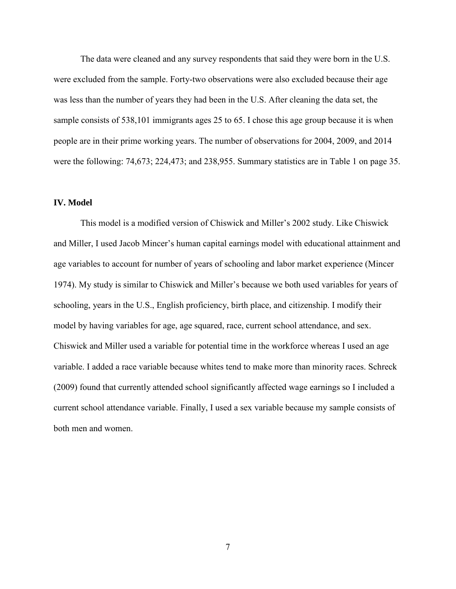The data were cleaned and any survey respondents that said they were born in the U.S. were excluded from the sample. Forty-two observations were also excluded because their age was less than the number of years they had been in the U.S. After cleaning the data set, the sample consists of 538,101 immigrants ages 25 to 65. I chose this age group because it is when people are in their prime working years. The number of observations for 2004, 2009, and 2014 were the following: 74,673; 224,473; and 238,955. Summary statistics are in Table 1 on page 35.

#### **IV. Model**

This model is a modified version of Chiswick and Miller's 2002 study. Like Chiswick and Miller, I used Jacob Mincer's human capital earnings model with educational attainment and age variables to account for number of years of schooling and labor market experience (Mincer 1974). My study is similar to Chiswick and Miller's because we both used variables for years of schooling, years in the U.S., English proficiency, birth place, and citizenship. I modify their model by having variables for age, age squared, race, current school attendance, and sex. Chiswick and Miller used a variable for potential time in the workforce whereas I used an age variable. I added a race variable because whites tend to make more than minority races. Schreck (2009) found that currently attended school significantly affected wage earnings so I included a current school attendance variable. Finally, I used a sex variable because my sample consists of both men and women.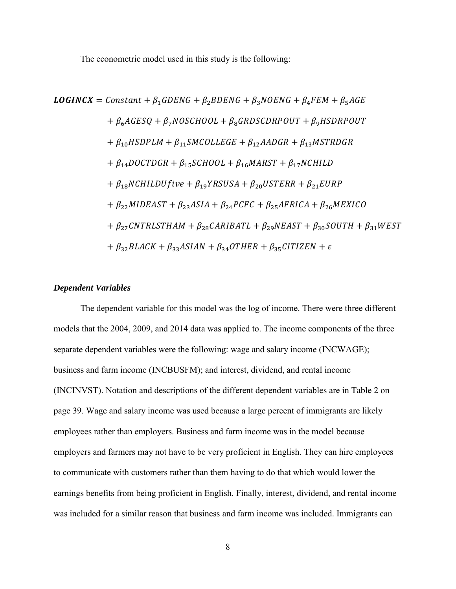The econometric model used in this study is the following:

$$
LOGINCX = Constant + \beta_1 GDENG + \beta_2 BDENG + \beta_3 NOENG + \beta_4 FEM + \beta_5 AGE
$$
  
+  $\beta_6 A GESQ + \beta_7 N OSCHOOL + \beta_8 GRDSCDRPOUT + \beta_9 HSDRPOUT$   
+  $\beta_{10} HSDPLM + \beta_{11} SMCOLLEGE + \beta_{12} AADGR + \beta_{13} MSTRDGR$   
+  $\beta_{14} DOCTDGR + \beta_{15} SCHOOL + \beta_{16} MARST + \beta_{17} NCHILD$   
+  $\beta_{18} NCHILDU five + \beta_{19} YRSUSA + \beta_{20} USTERR + \beta_{21} EURP$   
+  $\beta_{22} MIDEAST + \beta_{23} ASIA + \beta_{24} PCFC + \beta_{25} AFRICA + \beta_{26} MEXICO$   
+  $\beta_{27} CNTRLSTHAM + \beta_{28} CARIBATL + \beta_{29} NEAST + \beta_{30} SOUTH + \beta_{31} WEST$   
+  $\beta_{32} BLACK + \beta_{33} ASIAN + \beta_{34} OTHER + \beta_{35} CITIZEN + \varepsilon$ 

#### *Dependent Variables*

The dependent variable for this model was the log of income. There were three different models that the 2004, 2009, and 2014 data was applied to. The income components of the three separate dependent variables were the following: wage and salary income (INCWAGE); business and farm income (INCBUSFM); and interest, dividend, and rental income (INCINVST). Notation and descriptions of the different dependent variables are in Table 2 on page 39. Wage and salary income was used because a large percent of immigrants are likely employees rather than employers. Business and farm income was in the model because employers and farmers may not have to be very proficient in English. They can hire employees to communicate with customers rather than them having to do that which would lower the earnings benefits from being proficient in English. Finally, interest, dividend, and rental income was included for a similar reason that business and farm income was included. Immigrants can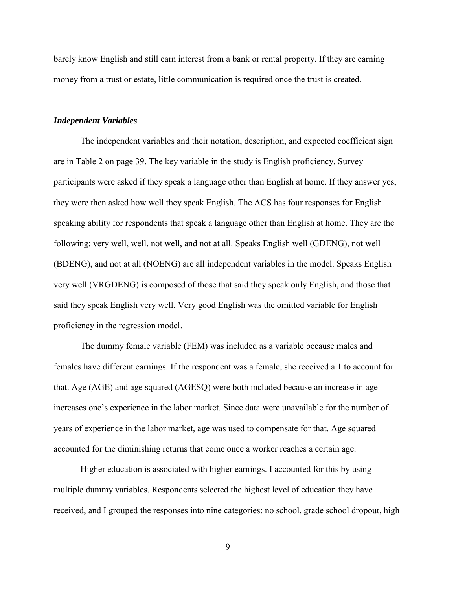barely know English and still earn interest from a bank or rental property. If they are earning money from a trust or estate, little communication is required once the trust is created.

#### *Independent Variables*

The independent variables and their notation, description, and expected coefficient sign are in Table 2 on page 39. The key variable in the study is English proficiency. Survey participants were asked if they speak a language other than English at home. If they answer yes, they were then asked how well they speak English. The ACS has four responses for English speaking ability for respondents that speak a language other than English at home. They are the following: very well, well, not well, and not at all. Speaks English well (GDENG), not well (BDENG), and not at all (NOENG) are all independent variables in the model. Speaks English very well (VRGDENG) is composed of those that said they speak only English, and those that said they speak English very well. Very good English was the omitted variable for English proficiency in the regression model.

The dummy female variable (FEM) was included as a variable because males and females have different earnings. If the respondent was a female, she received a 1 to account for that. Age (AGE) and age squared (AGESQ) were both included because an increase in age increases one's experience in the labor market. Since data were unavailable for the number of years of experience in the labor market, age was used to compensate for that. Age squared accounted for the diminishing returns that come once a worker reaches a certain age.

Higher education is associated with higher earnings. I accounted for this by using multiple dummy variables. Respondents selected the highest level of education they have received, and I grouped the responses into nine categories: no school, grade school dropout, high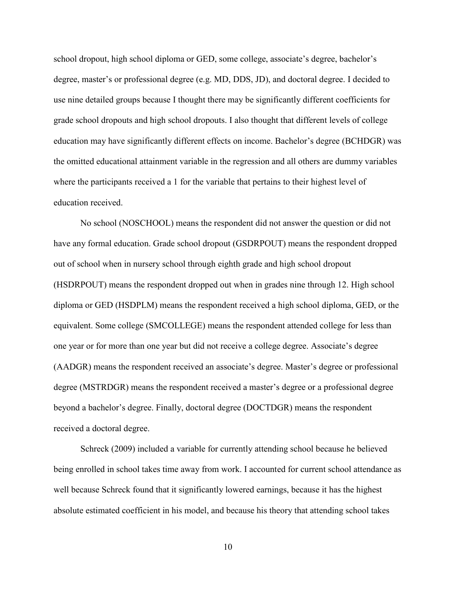school dropout, high school diploma or GED, some college, associate's degree, bachelor's degree, master's or professional degree (e.g. MD, DDS, JD), and doctoral degree. I decided to use nine detailed groups because I thought there may be significantly different coefficients for grade school dropouts and high school dropouts. I also thought that different levels of college education may have significantly different effects on income. Bachelor's degree (BCHDGR) was the omitted educational attainment variable in the regression and all others are dummy variables where the participants received a 1 for the variable that pertains to their highest level of education received.

No school (NOSCHOOL) means the respondent did not answer the question or did not have any formal education. Grade school dropout (GSDRPOUT) means the respondent dropped out of school when in nursery school through eighth grade and high school dropout (HSDRPOUT) means the respondent dropped out when in grades nine through 12. High school diploma or GED (HSDPLM) means the respondent received a high school diploma, GED, or the equivalent. Some college (SMCOLLEGE) means the respondent attended college for less than one year or for more than one year but did not receive a college degree. Associate's degree (AADGR) means the respondent received an associate's degree. Master's degree or professional degree (MSTRDGR) means the respondent received a master's degree or a professional degree beyond a bachelor's degree. Finally, doctoral degree (DOCTDGR) means the respondent received a doctoral degree.

Schreck (2009) included a variable for currently attending school because he believed being enrolled in school takes time away from work. I accounted for current school attendance as well because Schreck found that it significantly lowered earnings, because it has the highest absolute estimated coefficient in his model, and because his theory that attending school takes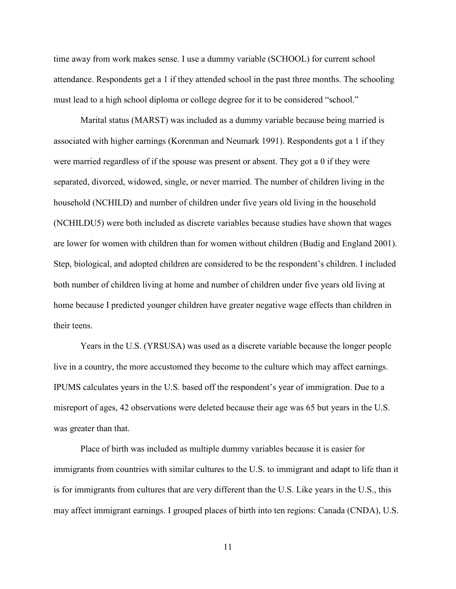time away from work makes sense. I use a dummy variable (SCHOOL) for current school attendance. Respondents get a 1 if they attended school in the past three months. The schooling must lead to a high school diploma or college degree for it to be considered "school."

Marital status (MARST) was included as a dummy variable because being married is associated with higher earnings (Korenman and Neumark 1991). Respondents got a 1 if they were married regardless of if the spouse was present or absent. They got a 0 if they were separated, divorced, widowed, single, or never married. The number of children living in the household (NCHILD) and number of children under five years old living in the household (NCHILDU5) were both included as discrete variables because studies have shown that wages are lower for women with children than for women without children (Budig and England 2001). Step, biological, and adopted children are considered to be the respondent's children. I included both number of children living at home and number of children under five years old living at home because I predicted younger children have greater negative wage effects than children in their teens.

Years in the U.S. (YRSUSA) was used as a discrete variable because the longer people live in a country, the more accustomed they become to the culture which may affect earnings. IPUMS calculates years in the U.S. based off the respondent's year of immigration. Due to a misreport of ages, 42 observations were deleted because their age was 65 but years in the U.S. was greater than that.

Place of birth was included as multiple dummy variables because it is easier for immigrants from countries with similar cultures to the U.S. to immigrant and adapt to life than it is for immigrants from cultures that are very different than the U.S. Like years in the U.S., this may affect immigrant earnings. I grouped places of birth into ten regions: Canada (CNDA), U.S.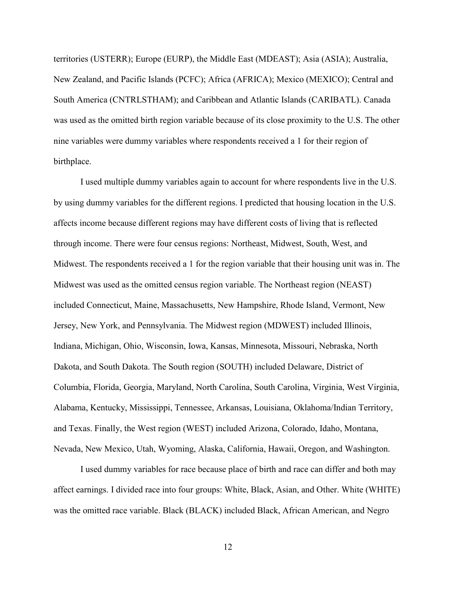territories (USTERR); Europe (EURP), the Middle East (MDEAST); Asia (ASIA); Australia, New Zealand, and Pacific Islands (PCFC); Africa (AFRICA); Mexico (MEXICO); Central and South America (CNTRLSTHAM); and Caribbean and Atlantic Islands (CARIBATL). Canada was used as the omitted birth region variable because of its close proximity to the U.S. The other nine variables were dummy variables where respondents received a 1 for their region of birthplace.

I used multiple dummy variables again to account for where respondents live in the U.S. by using dummy variables for the different regions. I predicted that housing location in the U.S. affects income because different regions may have different costs of living that is reflected through income. There were four census regions: Northeast, Midwest, South, West, and Midwest. The respondents received a 1 for the region variable that their housing unit was in. The Midwest was used as the omitted census region variable. The Northeast region (NEAST) included Connecticut, Maine, Massachusetts, New Hampshire, Rhode Island, Vermont, New Jersey, New York, and Pennsylvania. The Midwest region (MDWEST) included Illinois, Indiana, Michigan, Ohio, Wisconsin, Iowa, Kansas, Minnesota, Missouri, Nebraska, North Dakota, and South Dakota. The South region (SOUTH) included Delaware, District of Columbia, Florida, Georgia, Maryland, North Carolina, South Carolina, Virginia, West Virginia, Alabama, Kentucky, Mississippi, Tennessee, Arkansas, Louisiana, Oklahoma/Indian Territory, and Texas. Finally, the West region (WEST) included Arizona, Colorado, Idaho, Montana, Nevada, New Mexico, Utah, Wyoming, Alaska, California, Hawaii, Oregon, and Washington.

I used dummy variables for race because place of birth and race can differ and both may affect earnings. I divided race into four groups: White, Black, Asian, and Other. White (WHITE) was the omitted race variable. Black (BLACK) included Black, African American, and Negro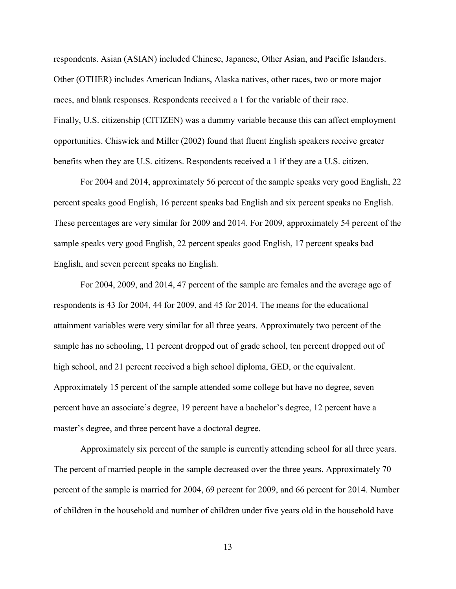respondents. Asian (ASIAN) included Chinese, Japanese, Other Asian, and Pacific Islanders. Other (OTHER) includes American Indians, Alaska natives, other races, two or more major races, and blank responses. Respondents received a 1 for the variable of their race. Finally, U.S. citizenship (CITIZEN) was a dummy variable because this can affect employment opportunities. Chiswick and Miller (2002) found that fluent English speakers receive greater benefits when they are U.S. citizens. Respondents received a 1 if they are a U.S. citizen.

For 2004 and 2014, approximately 56 percent of the sample speaks very good English, 22 percent speaks good English, 16 percent speaks bad English and six percent speaks no English. These percentages are very similar for 2009 and 2014. For 2009, approximately 54 percent of the sample speaks very good English, 22 percent speaks good English, 17 percent speaks bad English, and seven percent speaks no English.

For 2004, 2009, and 2014, 47 percent of the sample are females and the average age of respondents is 43 for 2004, 44 for 2009, and 45 for 2014. The means for the educational attainment variables were very similar for all three years. Approximately two percent of the sample has no schooling, 11 percent dropped out of grade school, ten percent dropped out of high school, and 21 percent received a high school diploma, GED, or the equivalent. Approximately 15 percent of the sample attended some college but have no degree, seven percent have an associate's degree, 19 percent have a bachelor's degree, 12 percent have a master's degree, and three percent have a doctoral degree.

Approximately six percent of the sample is currently attending school for all three years. The percent of married people in the sample decreased over the three years. Approximately 70 percent of the sample is married for 2004, 69 percent for 2009, and 66 percent for 2014. Number of children in the household and number of children under five years old in the household have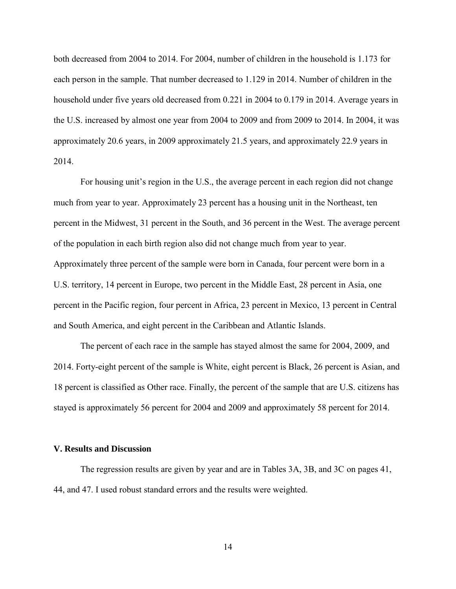both decreased from 2004 to 2014. For 2004, number of children in the household is 1.173 for each person in the sample. That number decreased to 1.129 in 2014. Number of children in the household under five years old decreased from 0.221 in 2004 to 0.179 in 2014. Average years in the U.S. increased by almost one year from 2004 to 2009 and from 2009 to 2014. In 2004, it was approximately 20.6 years, in 2009 approximately 21.5 years, and approximately 22.9 years in 2014.

For housing unit's region in the U.S., the average percent in each region did not change much from year to year. Approximately 23 percent has a housing unit in the Northeast, ten percent in the Midwest, 31 percent in the South, and 36 percent in the West. The average percent of the population in each birth region also did not change much from year to year. Approximately three percent of the sample were born in Canada, four percent were born in a U.S. territory, 14 percent in Europe, two percent in the Middle East, 28 percent in Asia, one percent in the Pacific region, four percent in Africa, 23 percent in Mexico, 13 percent in Central and South America, and eight percent in the Caribbean and Atlantic Islands.

The percent of each race in the sample has stayed almost the same for 2004, 2009, and 2014. Forty-eight percent of the sample is White, eight percent is Black, 26 percent is Asian, and 18 percent is classified as Other race. Finally, the percent of the sample that are U.S. citizens has stayed is approximately 56 percent for 2004 and 2009 and approximately 58 percent for 2014.

#### **V. Results and Discussion**

The regression results are given by year and are in Tables 3A, 3B, and 3C on pages 41, 44, and 47. I used robust standard errors and the results were weighted.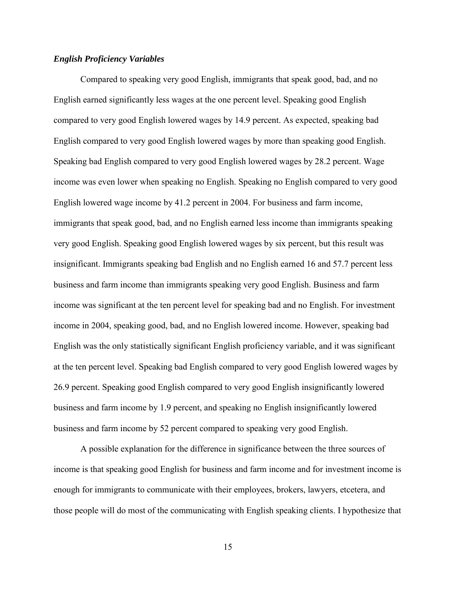#### *English Proficiency Variables*

Compared to speaking very good English, immigrants that speak good, bad, and no English earned significantly less wages at the one percent level. Speaking good English compared to very good English lowered wages by 14.9 percent. As expected, speaking bad English compared to very good English lowered wages by more than speaking good English. Speaking bad English compared to very good English lowered wages by 28.2 percent. Wage income was even lower when speaking no English. Speaking no English compared to very good English lowered wage income by 41.2 percent in 2004. For business and farm income, immigrants that speak good, bad, and no English earned less income than immigrants speaking very good English. Speaking good English lowered wages by six percent, but this result was insignificant. Immigrants speaking bad English and no English earned 16 and 57.7 percent less business and farm income than immigrants speaking very good English. Business and farm income was significant at the ten percent level for speaking bad and no English. For investment income in 2004, speaking good, bad, and no English lowered income. However, speaking bad English was the only statistically significant English proficiency variable, and it was significant at the ten percent level. Speaking bad English compared to very good English lowered wages by 26.9 percent. Speaking good English compared to very good English insignificantly lowered business and farm income by 1.9 percent, and speaking no English insignificantly lowered business and farm income by 52 percent compared to speaking very good English.

A possible explanation for the difference in significance between the three sources of income is that speaking good English for business and farm income and for investment income is enough for immigrants to communicate with their employees, brokers, lawyers, etcetera, and those people will do most of the communicating with English speaking clients. I hypothesize that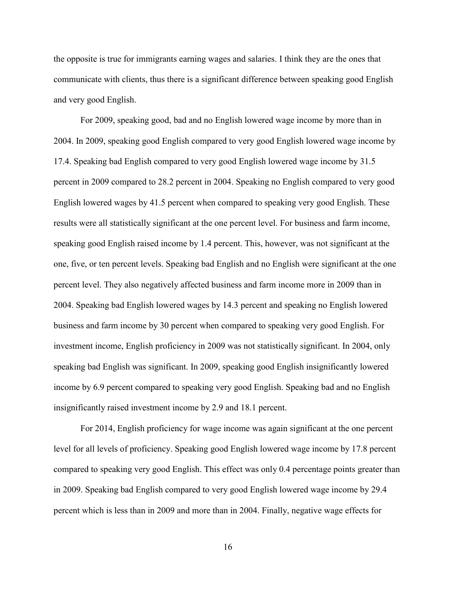the opposite is true for immigrants earning wages and salaries. I think they are the ones that communicate with clients, thus there is a significant difference between speaking good English and very good English.

For 2009, speaking good, bad and no English lowered wage income by more than in 2004. In 2009, speaking good English compared to very good English lowered wage income by 17.4. Speaking bad English compared to very good English lowered wage income by 31.5 percent in 2009 compared to 28.2 percent in 2004. Speaking no English compared to very good English lowered wages by 41.5 percent when compared to speaking very good English. These results were all statistically significant at the one percent level. For business and farm income, speaking good English raised income by 1.4 percent. This, however, was not significant at the one, five, or ten percent levels. Speaking bad English and no English were significant at the one percent level. They also negatively affected business and farm income more in 2009 than in 2004. Speaking bad English lowered wages by 14.3 percent and speaking no English lowered business and farm income by 30 percent when compared to speaking very good English. For investment income, English proficiency in 2009 was not statistically significant. In 2004, only speaking bad English was significant. In 2009, speaking good English insignificantly lowered income by 6.9 percent compared to speaking very good English. Speaking bad and no English insignificantly raised investment income by 2.9 and 18.1 percent.

For 2014, English proficiency for wage income was again significant at the one percent level for all levels of proficiency. Speaking good English lowered wage income by 17.8 percent compared to speaking very good English. This effect was only 0.4 percentage points greater than in 2009. Speaking bad English compared to very good English lowered wage income by 29.4 percent which is less than in 2009 and more than in 2004. Finally, negative wage effects for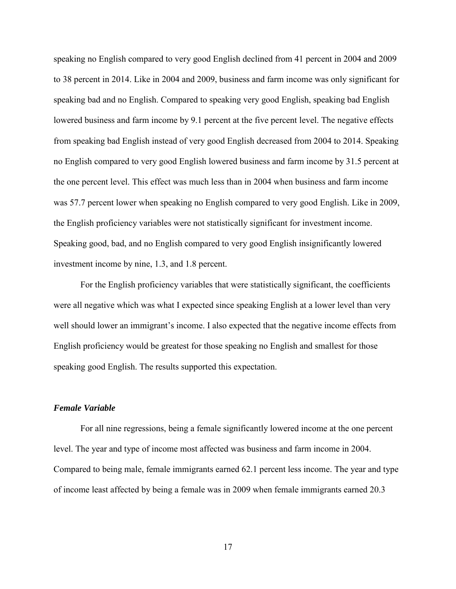speaking no English compared to very good English declined from 41 percent in 2004 and 2009 to 38 percent in 2014. Like in 2004 and 2009, business and farm income was only significant for speaking bad and no English. Compared to speaking very good English, speaking bad English lowered business and farm income by 9.1 percent at the five percent level. The negative effects from speaking bad English instead of very good English decreased from 2004 to 2014. Speaking no English compared to very good English lowered business and farm income by 31.5 percent at the one percent level. This effect was much less than in 2004 when business and farm income was 57.7 percent lower when speaking no English compared to very good English. Like in 2009, the English proficiency variables were not statistically significant for investment income. Speaking good, bad, and no English compared to very good English insignificantly lowered investment income by nine, 1.3, and 1.8 percent.

For the English proficiency variables that were statistically significant, the coefficients were all negative which was what I expected since speaking English at a lower level than very well should lower an immigrant's income. I also expected that the negative income effects from English proficiency would be greatest for those speaking no English and smallest for those speaking good English. The results supported this expectation.

#### *Female Variable*

For all nine regressions, being a female significantly lowered income at the one percent level. The year and type of income most affected was business and farm income in 2004. Compared to being male, female immigrants earned 62.1 percent less income. The year and type of income least affected by being a female was in 2009 when female immigrants earned 20.3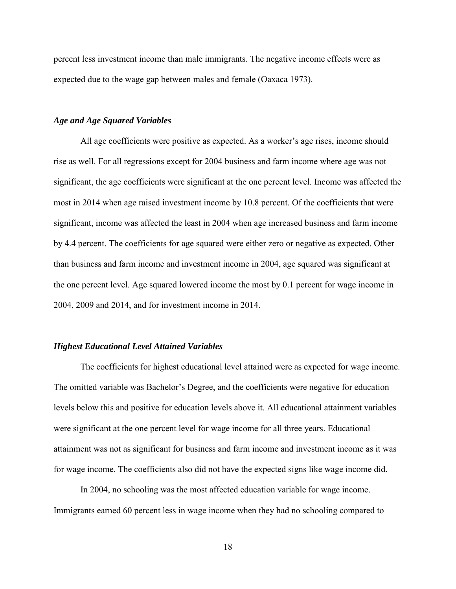percent less investment income than male immigrants. The negative income effects were as expected due to the wage gap between males and female (Oaxaca 1973).

#### *Age and Age Squared Variables*

All age coefficients were positive as expected. As a worker's age rises, income should rise as well. For all regressions except for 2004 business and farm income where age was not significant, the age coefficients were significant at the one percent level. Income was affected the most in 2014 when age raised investment income by 10.8 percent. Of the coefficients that were significant, income was affected the least in 2004 when age increased business and farm income by 4.4 percent. The coefficients for age squared were either zero or negative as expected. Other than business and farm income and investment income in 2004, age squared was significant at the one percent level. Age squared lowered income the most by 0.1 percent for wage income in 2004, 2009 and 2014, and for investment income in 2014.

#### *Highest Educational Level Attained Variables*

The coefficients for highest educational level attained were as expected for wage income. The omitted variable was Bachelor's Degree, and the coefficients were negative for education levels below this and positive for education levels above it. All educational attainment variables were significant at the one percent level for wage income for all three years. Educational attainment was not as significant for business and farm income and investment income as it was for wage income. The coefficients also did not have the expected signs like wage income did.

In 2004, no schooling was the most affected education variable for wage income. Immigrants earned 60 percent less in wage income when they had no schooling compared to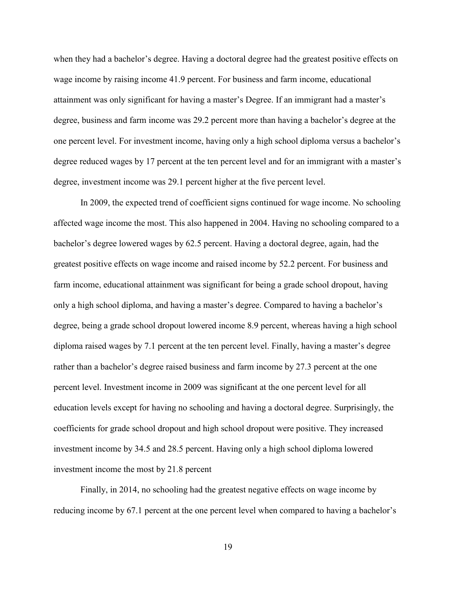when they had a bachelor's degree. Having a doctoral degree had the greatest positive effects on wage income by raising income 41.9 percent. For business and farm income, educational attainment was only significant for having a master's Degree. If an immigrant had a master's degree, business and farm income was 29.2 percent more than having a bachelor's degree at the one percent level. For investment income, having only a high school diploma versus a bachelor's degree reduced wages by 17 percent at the ten percent level and for an immigrant with a master's degree, investment income was 29.1 percent higher at the five percent level.

In 2009, the expected trend of coefficient signs continued for wage income. No schooling affected wage income the most. This also happened in 2004. Having no schooling compared to a bachelor's degree lowered wages by 62.5 percent. Having a doctoral degree, again, had the greatest positive effects on wage income and raised income by 52.2 percent. For business and farm income, educational attainment was significant for being a grade school dropout, having only a high school diploma, and having a master's degree. Compared to having a bachelor's degree, being a grade school dropout lowered income 8.9 percent, whereas having a high school diploma raised wages by 7.1 percent at the ten percent level. Finally, having a master's degree rather than a bachelor's degree raised business and farm income by 27.3 percent at the one percent level. Investment income in 2009 was significant at the one percent level for all education levels except for having no schooling and having a doctoral degree. Surprisingly, the coefficients for grade school dropout and high school dropout were positive. They increased investment income by 34.5 and 28.5 percent. Having only a high school diploma lowered investment income the most by 21.8 percent

Finally, in 2014, no schooling had the greatest negative effects on wage income by reducing income by 67.1 percent at the one percent level when compared to having a bachelor's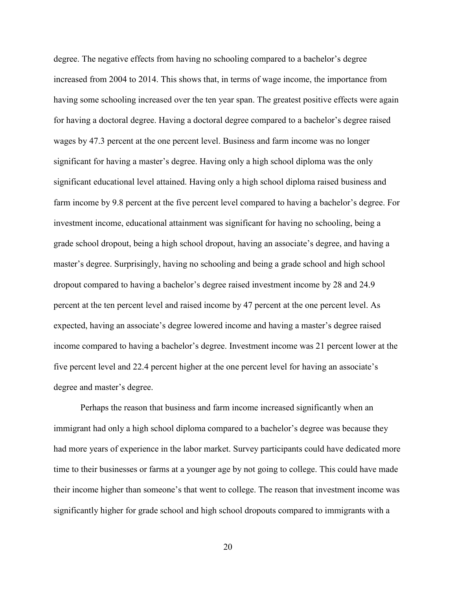degree. The negative effects from having no schooling compared to a bachelor's degree increased from 2004 to 2014. This shows that, in terms of wage income, the importance from having some schooling increased over the ten year span. The greatest positive effects were again for having a doctoral degree. Having a doctoral degree compared to a bachelor's degree raised wages by 47.3 percent at the one percent level. Business and farm income was no longer significant for having a master's degree. Having only a high school diploma was the only significant educational level attained. Having only a high school diploma raised business and farm income by 9.8 percent at the five percent level compared to having a bachelor's degree. For investment income, educational attainment was significant for having no schooling, being a grade school dropout, being a high school dropout, having an associate's degree, and having a master's degree. Surprisingly, having no schooling and being a grade school and high school dropout compared to having a bachelor's degree raised investment income by 28 and 24.9 percent at the ten percent level and raised income by 47 percent at the one percent level. As expected, having an associate's degree lowered income and having a master's degree raised income compared to having a bachelor's degree. Investment income was 21 percent lower at the five percent level and 22.4 percent higher at the one percent level for having an associate's degree and master's degree.

Perhaps the reason that business and farm income increased significantly when an immigrant had only a high school diploma compared to a bachelor's degree was because they had more years of experience in the labor market. Survey participants could have dedicated more time to their businesses or farms at a younger age by not going to college. This could have made their income higher than someone's that went to college. The reason that investment income was significantly higher for grade school and high school dropouts compared to immigrants with a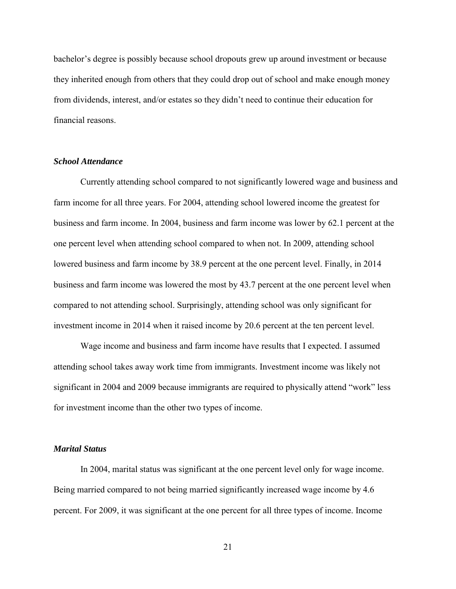bachelor's degree is possibly because school dropouts grew up around investment or because they inherited enough from others that they could drop out of school and make enough money from dividends, interest, and/or estates so they didn't need to continue their education for financial reasons.

#### *School Attendance*

Currently attending school compared to not significantly lowered wage and business and farm income for all three years. For 2004, attending school lowered income the greatest for business and farm income. In 2004, business and farm income was lower by 62.1 percent at the one percent level when attending school compared to when not. In 2009, attending school lowered business and farm income by 38.9 percent at the one percent level. Finally, in 2014 business and farm income was lowered the most by 43.7 percent at the one percent level when compared to not attending school. Surprisingly, attending school was only significant for investment income in 2014 when it raised income by 20.6 percent at the ten percent level.

Wage income and business and farm income have results that I expected. I assumed attending school takes away work time from immigrants. Investment income was likely not significant in 2004 and 2009 because immigrants are required to physically attend "work" less for investment income than the other two types of income.

#### *Marital Status*

In 2004, marital status was significant at the one percent level only for wage income. Being married compared to not being married significantly increased wage income by 4.6 percent. For 2009, it was significant at the one percent for all three types of income. Income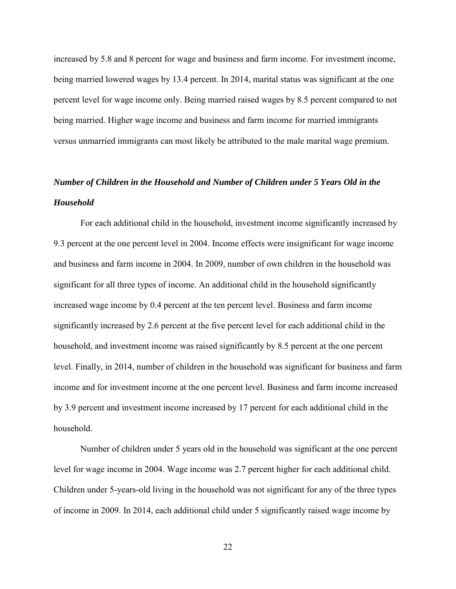increased by 5.8 and 8 percent for wage and business and farm income. For investment income, being married lowered wages by 13.4 percent. In 2014, marital status was significant at the one percent level for wage income only. Being married raised wages by 8.5 percent compared to not being married. Higher wage income and business and farm income for married immigrants versus unmarried immigrants can most likely be attributed to the male marital wage premium.

# *Number of Children in the Household and Number of Children under 5 Years Old in the Household*

For each additional child in the household, investment income significantly increased by 9.3 percent at the one percent level in 2004. Income effects were insignificant for wage income and business and farm income in 2004. In 2009, number of own children in the household was significant for all three types of income. An additional child in the household significantly increased wage income by 0.4 percent at the ten percent level. Business and farm income significantly increased by 2.6 percent at the five percent level for each additional child in the household, and investment income was raised significantly by 8.5 percent at the one percent level. Finally, in 2014, number of children in the household was significant for business and farm income and for investment income at the one percent level. Business and farm income increased by 3.9 percent and investment income increased by 17 percent for each additional child in the household.

Number of children under 5 years old in the household was significant at the one percent level for wage income in 2004. Wage income was 2.7 percent higher for each additional child. Children under 5-years-old living in the household was not significant for any of the three types of income in 2009. In 2014, each additional child under 5 significantly raised wage income by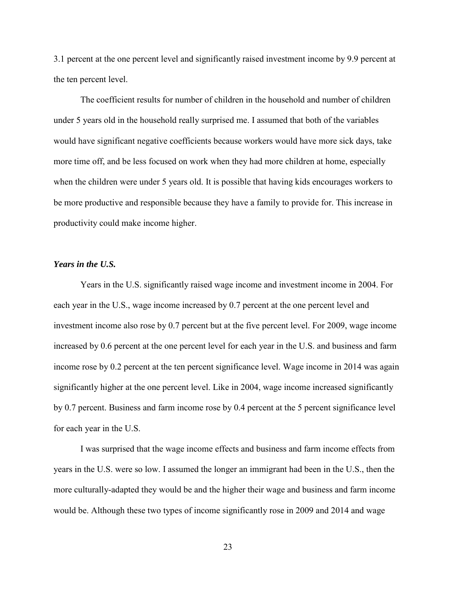3.1 percent at the one percent level and significantly raised investment income by 9.9 percent at the ten percent level.

The coefficient results for number of children in the household and number of children under 5 years old in the household really surprised me. I assumed that both of the variables would have significant negative coefficients because workers would have more sick days, take more time off, and be less focused on work when they had more children at home, especially when the children were under 5 years old. It is possible that having kids encourages workers to be more productive and responsible because they have a family to provide for. This increase in productivity could make income higher.

#### *Years in the U.S.*

Years in the U.S. significantly raised wage income and investment income in 2004. For each year in the U.S., wage income increased by 0.7 percent at the one percent level and investment income also rose by 0.7 percent but at the five percent level. For 2009, wage income increased by 0.6 percent at the one percent level for each year in the U.S. and business and farm income rose by 0.2 percent at the ten percent significance level. Wage income in 2014 was again significantly higher at the one percent level. Like in 2004, wage income increased significantly by 0.7 percent. Business and farm income rose by 0.4 percent at the 5 percent significance level for each year in the U.S.

I was surprised that the wage income effects and business and farm income effects from years in the U.S. were so low. I assumed the longer an immigrant had been in the U.S., then the more culturally-adapted they would be and the higher their wage and business and farm income would be. Although these two types of income significantly rose in 2009 and 2014 and wage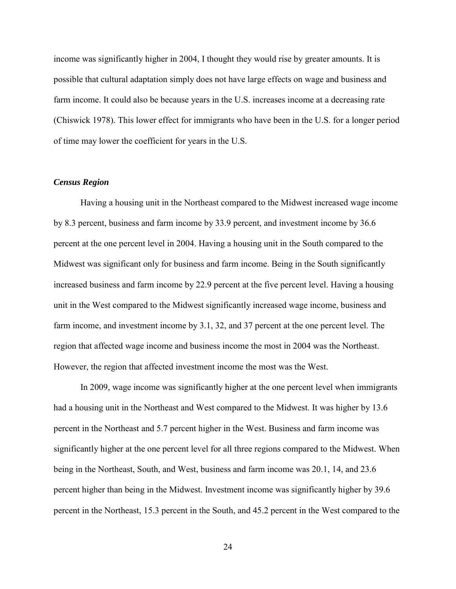income was significantly higher in 2004, I thought they would rise by greater amounts. It is possible that cultural adaptation simply does not have large effects on wage and business and farm income. It could also be because years in the U.S. increases income at a decreasing rate (Chiswick 1978). This lower effect for immigrants who have been in the U.S. for a longer period of time may lower the coefficient for years in the U.S.

#### *Census Region*

Having a housing unit in the Northeast compared to the Midwest increased wage income by 8.3 percent, business and farm income by 33.9 percent, and investment income by 36.6 percent at the one percent level in 2004. Having a housing unit in the South compared to the Midwest was significant only for business and farm income. Being in the South significantly increased business and farm income by 22.9 percent at the five percent level. Having a housing unit in the West compared to the Midwest significantly increased wage income, business and farm income, and investment income by 3.1, 32, and 37 percent at the one percent level. The region that affected wage income and business income the most in 2004 was the Northeast. However, the region that affected investment income the most was the West.

In 2009, wage income was significantly higher at the one percent level when immigrants had a housing unit in the Northeast and West compared to the Midwest. It was higher by 13.6 percent in the Northeast and 5.7 percent higher in the West. Business and farm income was significantly higher at the one percent level for all three regions compared to the Midwest. When being in the Northeast, South, and West, business and farm income was 20.1, 14, and 23.6 percent higher than being in the Midwest. Investment income was significantly higher by 39.6 percent in the Northeast, 15.3 percent in the South, and 45.2 percent in the West compared to the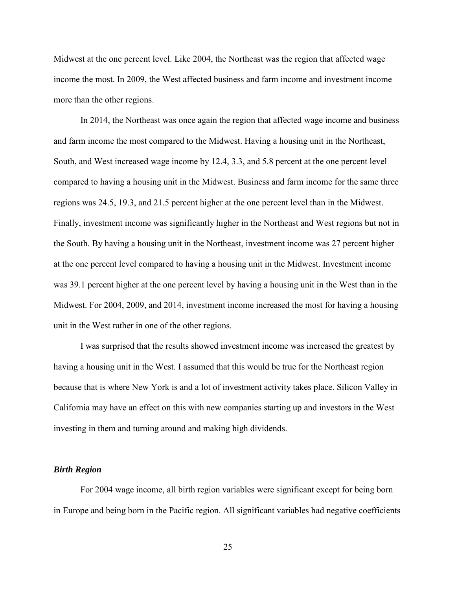Midwest at the one percent level. Like 2004, the Northeast was the region that affected wage income the most. In 2009, the West affected business and farm income and investment income more than the other regions.

In 2014, the Northeast was once again the region that affected wage income and business and farm income the most compared to the Midwest. Having a housing unit in the Northeast, South, and West increased wage income by 12.4, 3.3, and 5.8 percent at the one percent level compared to having a housing unit in the Midwest. Business and farm income for the same three regions was 24.5, 19.3, and 21.5 percent higher at the one percent level than in the Midwest. Finally, investment income was significantly higher in the Northeast and West regions but not in the South. By having a housing unit in the Northeast, investment income was 27 percent higher at the one percent level compared to having a housing unit in the Midwest. Investment income was 39.1 percent higher at the one percent level by having a housing unit in the West than in the Midwest. For 2004, 2009, and 2014, investment income increased the most for having a housing unit in the West rather in one of the other regions.

I was surprised that the results showed investment income was increased the greatest by having a housing unit in the West. I assumed that this would be true for the Northeast region because that is where New York is and a lot of investment activity takes place. Silicon Valley in California may have an effect on this with new companies starting up and investors in the West investing in them and turning around and making high dividends.

#### *Birth Region*

For 2004 wage income, all birth region variables were significant except for being born in Europe and being born in the Pacific region. All significant variables had negative coefficients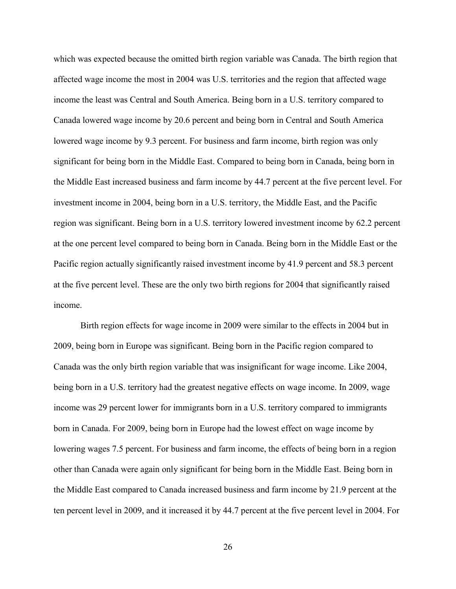which was expected because the omitted birth region variable was Canada. The birth region that affected wage income the most in 2004 was U.S. territories and the region that affected wage income the least was Central and South America. Being born in a U.S. territory compared to Canada lowered wage income by 20.6 percent and being born in Central and South America lowered wage income by 9.3 percent. For business and farm income, birth region was only significant for being born in the Middle East. Compared to being born in Canada, being born in the Middle East increased business and farm income by 44.7 percent at the five percent level. For investment income in 2004, being born in a U.S. territory, the Middle East, and the Pacific region was significant. Being born in a U.S. territory lowered investment income by 62.2 percent at the one percent level compared to being born in Canada. Being born in the Middle East or the Pacific region actually significantly raised investment income by 41.9 percent and 58.3 percent at the five percent level. These are the only two birth regions for 2004 that significantly raised income.

Birth region effects for wage income in 2009 were similar to the effects in 2004 but in 2009, being born in Europe was significant. Being born in the Pacific region compared to Canada was the only birth region variable that was insignificant for wage income. Like 2004, being born in a U.S. territory had the greatest negative effects on wage income. In 2009, wage income was 29 percent lower for immigrants born in a U.S. territory compared to immigrants born in Canada. For 2009, being born in Europe had the lowest effect on wage income by lowering wages 7.5 percent. For business and farm income, the effects of being born in a region other than Canada were again only significant for being born in the Middle East. Being born in the Middle East compared to Canada increased business and farm income by 21.9 percent at the ten percent level in 2009, and it increased it by 44.7 percent at the five percent level in 2004. For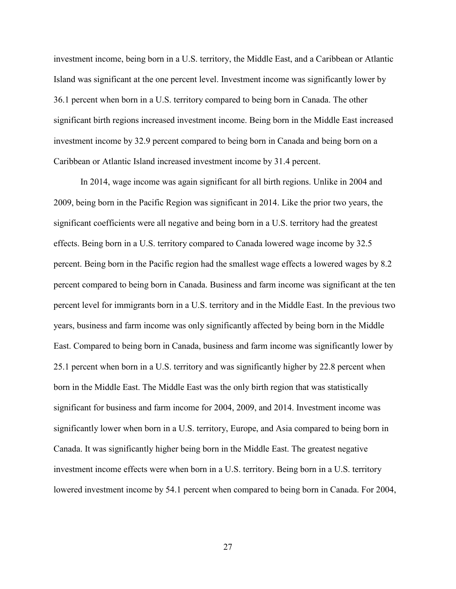investment income, being born in a U.S. territory, the Middle East, and a Caribbean or Atlantic Island was significant at the one percent level. Investment income was significantly lower by 36.1 percent when born in a U.S. territory compared to being born in Canada. The other significant birth regions increased investment income. Being born in the Middle East increased investment income by 32.9 percent compared to being born in Canada and being born on a Caribbean or Atlantic Island increased investment income by 31.4 percent.

In 2014, wage income was again significant for all birth regions. Unlike in 2004 and 2009, being born in the Pacific Region was significant in 2014. Like the prior two years, the significant coefficients were all negative and being born in a U.S. territory had the greatest effects. Being born in a U.S. territory compared to Canada lowered wage income by 32.5 percent. Being born in the Pacific region had the smallest wage effects a lowered wages by 8.2 percent compared to being born in Canada. Business and farm income was significant at the ten percent level for immigrants born in a U.S. territory and in the Middle East. In the previous two years, business and farm income was only significantly affected by being born in the Middle East. Compared to being born in Canada, business and farm income was significantly lower by 25.1 percent when born in a U.S. territory and was significantly higher by 22.8 percent when born in the Middle East. The Middle East was the only birth region that was statistically significant for business and farm income for 2004, 2009, and 2014. Investment income was significantly lower when born in a U.S. territory, Europe, and Asia compared to being born in Canada. It was significantly higher being born in the Middle East. The greatest negative investment income effects were when born in a U.S. territory. Being born in a U.S. territory lowered investment income by 54.1 percent when compared to being born in Canada. For 2004,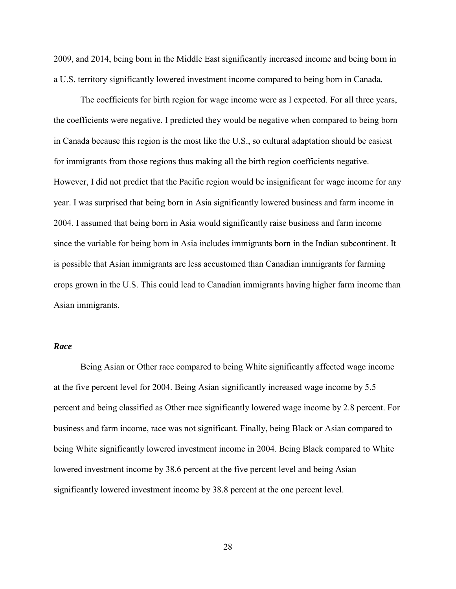2009, and 2014, being born in the Middle East significantly increased income and being born in a U.S. territory significantly lowered investment income compared to being born in Canada.

The coefficients for birth region for wage income were as I expected. For all three years, the coefficients were negative. I predicted they would be negative when compared to being born in Canada because this region is the most like the U.S., so cultural adaptation should be easiest for immigrants from those regions thus making all the birth region coefficients negative. However, I did not predict that the Pacific region would be insignificant for wage income for any year. I was surprised that being born in Asia significantly lowered business and farm income in 2004. I assumed that being born in Asia would significantly raise business and farm income since the variable for being born in Asia includes immigrants born in the Indian subcontinent. It is possible that Asian immigrants are less accustomed than Canadian immigrants for farming crops grown in the U.S. This could lead to Canadian immigrants having higher farm income than Asian immigrants.

#### *Race*

Being Asian or Other race compared to being White significantly affected wage income at the five percent level for 2004. Being Asian significantly increased wage income by 5.5 percent and being classified as Other race significantly lowered wage income by 2.8 percent. For business and farm income, race was not significant. Finally, being Black or Asian compared to being White significantly lowered investment income in 2004. Being Black compared to White lowered investment income by 38.6 percent at the five percent level and being Asian significantly lowered investment income by 38.8 percent at the one percent level.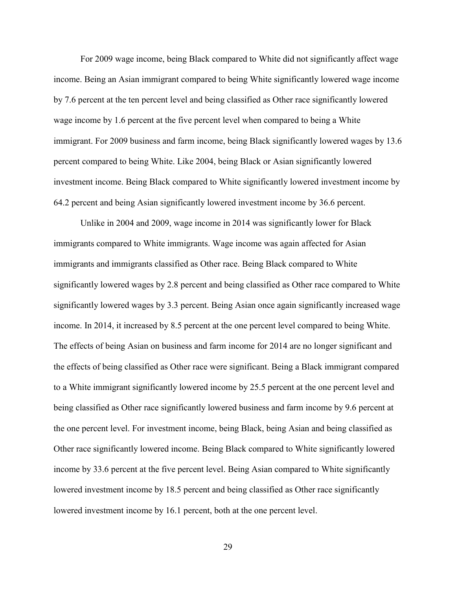For 2009 wage income, being Black compared to White did not significantly affect wage income. Being an Asian immigrant compared to being White significantly lowered wage income by 7.6 percent at the ten percent level and being classified as Other race significantly lowered wage income by 1.6 percent at the five percent level when compared to being a White immigrant. For 2009 business and farm income, being Black significantly lowered wages by 13.6 percent compared to being White. Like 2004, being Black or Asian significantly lowered investment income. Being Black compared to White significantly lowered investment income by 64.2 percent and being Asian significantly lowered investment income by 36.6 percent.

Unlike in 2004 and 2009, wage income in 2014 was significantly lower for Black immigrants compared to White immigrants. Wage income was again affected for Asian immigrants and immigrants classified as Other race. Being Black compared to White significantly lowered wages by 2.8 percent and being classified as Other race compared to White significantly lowered wages by 3.3 percent. Being Asian once again significantly increased wage income. In 2014, it increased by 8.5 percent at the one percent level compared to being White. The effects of being Asian on business and farm income for 2014 are no longer significant and the effects of being classified as Other race were significant. Being a Black immigrant compared to a White immigrant significantly lowered income by 25.5 percent at the one percent level and being classified as Other race significantly lowered business and farm income by 9.6 percent at the one percent level. For investment income, being Black, being Asian and being classified as Other race significantly lowered income. Being Black compared to White significantly lowered income by 33.6 percent at the five percent level. Being Asian compared to White significantly lowered investment income by 18.5 percent and being classified as Other race significantly lowered investment income by 16.1 percent, both at the one percent level.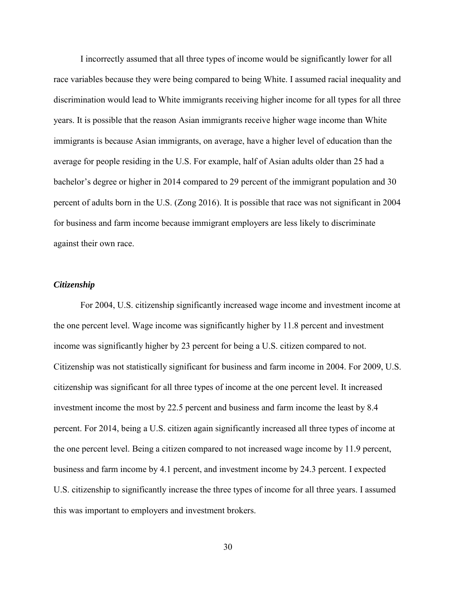I incorrectly assumed that all three types of income would be significantly lower for all race variables because they were being compared to being White. I assumed racial inequality and discrimination would lead to White immigrants receiving higher income for all types for all three years. It is possible that the reason Asian immigrants receive higher wage income than White immigrants is because Asian immigrants, on average, have a higher level of education than the average for people residing in the U.S. For example, half of Asian adults older than 25 had a bachelor's degree or higher in 2014 compared to 29 percent of the immigrant population and 30 percent of adults born in the U.S. (Zong 2016). It is possible that race was not significant in 2004 for business and farm income because immigrant employers are less likely to discriminate against their own race.

#### *Citizenship*

For 2004, U.S. citizenship significantly increased wage income and investment income at the one percent level. Wage income was significantly higher by 11.8 percent and investment income was significantly higher by 23 percent for being a U.S. citizen compared to not. Citizenship was not statistically significant for business and farm income in 2004. For 2009, U.S. citizenship was significant for all three types of income at the one percent level. It increased investment income the most by 22.5 percent and business and farm income the least by 8.4 percent. For 2014, being a U.S. citizen again significantly increased all three types of income at the one percent level. Being a citizen compared to not increased wage income by 11.9 percent, business and farm income by 4.1 percent, and investment income by 24.3 percent. I expected U.S. citizenship to significantly increase the three types of income for all three years. I assumed this was important to employers and investment brokers.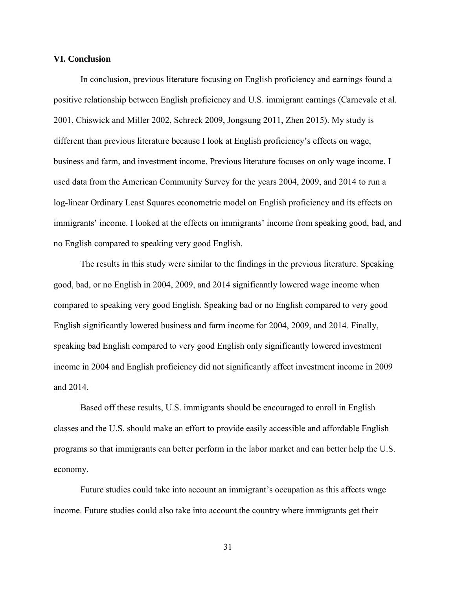#### **VI. Conclusion**

In conclusion, previous literature focusing on English proficiency and earnings found a positive relationship between English proficiency and U.S. immigrant earnings (Carnevale et al. 2001, Chiswick and Miller 2002, Schreck 2009, Jongsung 2011, Zhen 2015). My study is different than previous literature because I look at English proficiency's effects on wage, business and farm, and investment income. Previous literature focuses on only wage income. I used data from the American Community Survey for the years 2004, 2009, and 2014 to run a log-linear Ordinary Least Squares econometric model on English proficiency and its effects on immigrants' income. I looked at the effects on immigrants' income from speaking good, bad, and no English compared to speaking very good English.

The results in this study were similar to the findings in the previous literature. Speaking good, bad, or no English in 2004, 2009, and 2014 significantly lowered wage income when compared to speaking very good English. Speaking bad or no English compared to very good English significantly lowered business and farm income for 2004, 2009, and 2014. Finally, speaking bad English compared to very good English only significantly lowered investment income in 2004 and English proficiency did not significantly affect investment income in 2009 and 2014.

Based off these results, U.S. immigrants should be encouraged to enroll in English classes and the U.S. should make an effort to provide easily accessible and affordable English programs so that immigrants can better perform in the labor market and can better help the U.S. economy.

Future studies could take into account an immigrant's occupation as this affects wage income. Future studies could also take into account the country where immigrants get their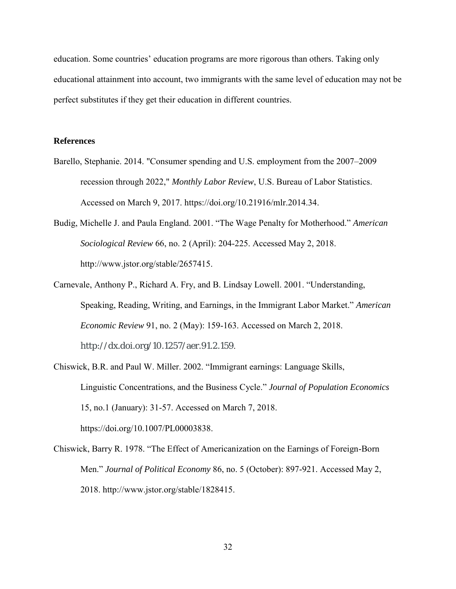education. Some countries' education programs are more rigorous than others. Taking only educational attainment into account, two immigrants with the same level of education may not be perfect substitutes if they get their education in different countries.

#### **References**

- Barello, Stephanie. 2014. "Consumer spending and U.S. employment from the 2007–2009 recession through 2022," *Monthly Labor Review*, U.S. Bureau of Labor Statistics. Accessed on March 9, 2017. https://doi.org/10.21916/mlr.2014.34.
- Budig, Michelle J. and Paula England. 2001. "The Wage Penalty for Motherhood." *American Sociological Review* 66, no. 2 (April): 204-225. Accessed May 2, 2018. http://www.jstor.org/stable/2657415.
- Carnevale, Anthony P., Richard A. Fry, and B. Lindsay Lowell. 2001. "Understanding, Speaking, Reading, Writing, and Earnings, in the Immigrant Labor Market." *American Economic Review* 91, no. 2 (May): 159-163. Accessed on March 2, 2018. http://dx.doi.org/10.1257/aer.91.2.159.
- Chiswick, B.R. and Paul W. Miller. 2002. "Immigrant earnings: Language Skills, Linguistic Concentrations, and the Business Cycle." *Journal of Population Economics* 15, no.1 (January): 31-57. Accessed on March 7, 2018. https://doi.org/10.1007/PL00003838.
- Chiswick, Barry R. 1978. "The Effect of Americanization on the Earnings of Foreign-Born Men." *Journal of Political Economy* 86, no. 5 (October): 897-921. Accessed May 2, 2018. http://www.jstor.org/stable/1828415.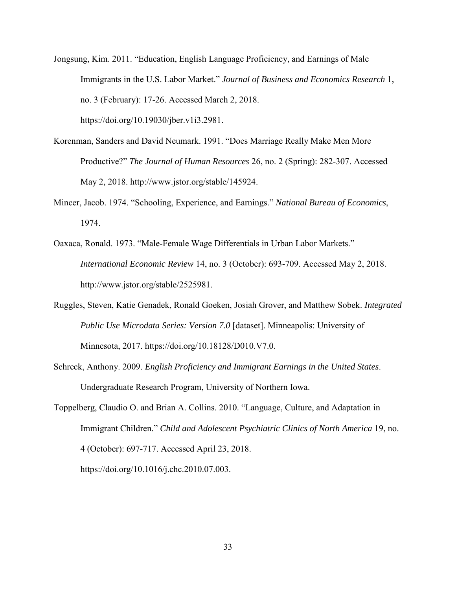Jongsung, Kim. 2011. "Education, English Language Proficiency, and Earnings of Male Immigrants in the U.S. Labor Market." *Journal of Business and Economics Research* 1, no. 3 (February): 17-26. Accessed March 2, 2018. https://doi.org/10.19030/jber.v1i3.2981.

- Korenman, Sanders and David Neumark. 1991. "Does Marriage Really Make Men More Productive?" *The Journal of Human Resources* 26, no. 2 (Spring): 282-307. Accessed May 2, 2018. http://www.jstor.org/stable/145924.
- Mincer, Jacob. 1974. "Schooling, Experience, and Earnings." *National Bureau of Economics*, 1974.
- Oaxaca, Ronald. 1973. "Male-Female Wage Differentials in Urban Labor Markets." *International Economic Review* 14, no. 3 (October): 693-709. Accessed May 2, 2018. http://www.jstor.org/stable/2525981.
- Ruggles, Steven, Katie Genadek, Ronald Goeken, Josiah Grover, and Matthew Sobek. *Integrated Public Use Microdata Series: Version 7.0* [dataset]. Minneapolis: University of Minnesota, 2017. https://doi.org/10.18128/D010.V7.0.
- Schreck, Anthony. 2009. *English Proficiency and Immigrant Earnings in the United States*. Undergraduate Research Program, University of Northern Iowa.
- Toppelberg, Claudio O. and Brian A. Collins. 2010. "Language, Culture, and Adaptation in Immigrant Children." *Child and Adolescent Psychiatric Clinics of North America* 19, no. 4 (October): 697-717. Accessed April 23, 2018.

https://doi.org/10.1016/j.chc.2010.07.003.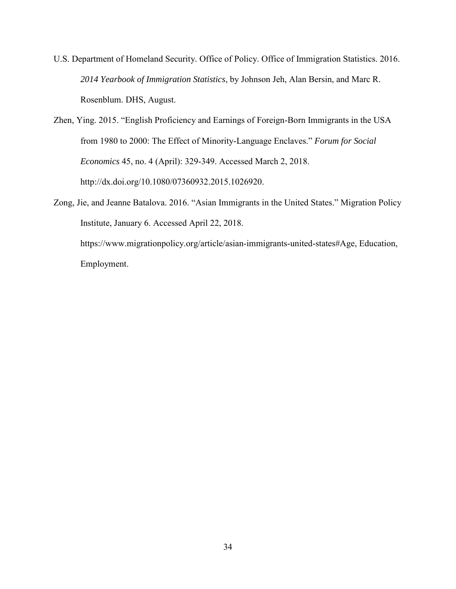- U.S. Department of Homeland Security. Office of Policy. Office of Immigration Statistics. 2016. *2014 Yearbook of Immigration Statistics*, by Johnson Jeh, Alan Bersin, and Marc R. Rosenblum. DHS, August.
- Zhen, Ying. 2015. "English Proficiency and Earnings of Foreign-Born Immigrants in the USA from 1980 to 2000: The Effect of Minority-Language Enclaves." *Forum for Social Economics* 45, no. 4 (April): 329-349. Accessed March 2, 2018. http://dx.doi.org/10.1080/07360932.2015.1026920.
- Zong, Jie, and Jeanne Batalova. 2016. "Asian Immigrants in the United States." Migration Policy Institute, January 6. Accessed April 22, 2018.

https://www.migrationpolicy.org/article/asian-immigrants-united-states#Age, Education, Employment.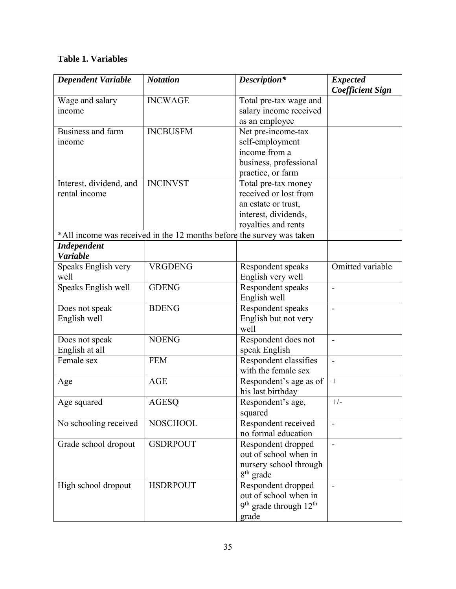### **Table 1. Variables**

| <b>INCWAGE</b><br>Wage and salary<br>Total pre-tax wage and<br>salary income received<br>income<br>as an employee<br>Business and farm<br><b>INCBUSFM</b><br>Net pre-income-tax<br>self-employment<br>income<br>income from a<br>business, professional<br>practice, or farm<br><b>INCINVST</b><br>Total pre-tax money<br>Interest, dividend, and<br>rental income<br>received or lost from<br>an estate or trust,<br>interest, dividends,<br>royalties and rents<br>*All income was received in the 12 months before the survey was taken | <b>Dependent Variable</b> | <b>Notation</b> | Description* | <b>Expected</b><br><b>Coefficient Sign</b> |
|--------------------------------------------------------------------------------------------------------------------------------------------------------------------------------------------------------------------------------------------------------------------------------------------------------------------------------------------------------------------------------------------------------------------------------------------------------------------------------------------------------------------------------------------|---------------------------|-----------------|--------------|--------------------------------------------|
|                                                                                                                                                                                                                                                                                                                                                                                                                                                                                                                                            |                           |                 |              |                                            |
|                                                                                                                                                                                                                                                                                                                                                                                                                                                                                                                                            |                           |                 |              |                                            |
|                                                                                                                                                                                                                                                                                                                                                                                                                                                                                                                                            |                           |                 |              |                                            |
|                                                                                                                                                                                                                                                                                                                                                                                                                                                                                                                                            |                           |                 |              |                                            |
|                                                                                                                                                                                                                                                                                                                                                                                                                                                                                                                                            |                           |                 |              |                                            |
|                                                                                                                                                                                                                                                                                                                                                                                                                                                                                                                                            |                           |                 |              |                                            |
|                                                                                                                                                                                                                                                                                                                                                                                                                                                                                                                                            |                           |                 |              |                                            |
|                                                                                                                                                                                                                                                                                                                                                                                                                                                                                                                                            |                           |                 |              |                                            |
|                                                                                                                                                                                                                                                                                                                                                                                                                                                                                                                                            |                           |                 |              |                                            |
|                                                                                                                                                                                                                                                                                                                                                                                                                                                                                                                                            |                           |                 |              |                                            |
|                                                                                                                                                                                                                                                                                                                                                                                                                                                                                                                                            |                           |                 |              |                                            |
|                                                                                                                                                                                                                                                                                                                                                                                                                                                                                                                                            |                           |                 |              |                                            |
|                                                                                                                                                                                                                                                                                                                                                                                                                                                                                                                                            |                           |                 |              |                                            |
|                                                                                                                                                                                                                                                                                                                                                                                                                                                                                                                                            |                           |                 |              |                                            |
|                                                                                                                                                                                                                                                                                                                                                                                                                                                                                                                                            |                           |                 |              |                                            |
| <b>Independent</b><br><b>Variable</b>                                                                                                                                                                                                                                                                                                                                                                                                                                                                                                      |                           |                 |              |                                            |
| <b>VRGDENG</b><br>Omitted variable<br>Speaks English very<br>Respondent speaks                                                                                                                                                                                                                                                                                                                                                                                                                                                             |                           |                 |              |                                            |
| English very well<br>well                                                                                                                                                                                                                                                                                                                                                                                                                                                                                                                  |                           |                 |              |                                            |
| <b>GDENG</b><br>Speaks English well<br>Respondent speaks                                                                                                                                                                                                                                                                                                                                                                                                                                                                                   |                           |                 |              |                                            |
| English well                                                                                                                                                                                                                                                                                                                                                                                                                                                                                                                               |                           |                 |              |                                            |
| <b>BDENG</b><br>Respondent speaks<br>Does not speak                                                                                                                                                                                                                                                                                                                                                                                                                                                                                        |                           |                 |              |                                            |
| English but not very<br>English well                                                                                                                                                                                                                                                                                                                                                                                                                                                                                                       |                           |                 |              |                                            |
| well                                                                                                                                                                                                                                                                                                                                                                                                                                                                                                                                       |                           |                 |              |                                            |
| <b>NOENG</b><br>Respondent does not<br>Does not speak<br>$\overline{\phantom{a}}$                                                                                                                                                                                                                                                                                                                                                                                                                                                          |                           |                 |              |                                            |
| English at all<br>speak English                                                                                                                                                                                                                                                                                                                                                                                                                                                                                                            |                           |                 |              |                                            |
| Respondent classifies<br>Female sex<br><b>FEM</b><br>$\overline{\phantom{a}}$                                                                                                                                                                                                                                                                                                                                                                                                                                                              |                           |                 |              |                                            |
| with the female sex                                                                                                                                                                                                                                                                                                                                                                                                                                                                                                                        |                           |                 |              |                                            |
| <b>AGE</b><br>$+$<br>Respondent's age as of<br>Age                                                                                                                                                                                                                                                                                                                                                                                                                                                                                         |                           |                 |              |                                            |
| his last birthday                                                                                                                                                                                                                                                                                                                                                                                                                                                                                                                          |                           |                 |              |                                            |
| Respondent's age,<br>$+/-$<br><b>AGESQ</b><br>Age squared                                                                                                                                                                                                                                                                                                                                                                                                                                                                                  |                           |                 |              |                                            |
| squared                                                                                                                                                                                                                                                                                                                                                                                                                                                                                                                                    |                           |                 |              |                                            |
| <b>NOSCHOOL</b><br>Respondent received<br>No schooling received<br>$\overline{\phantom{a}}$                                                                                                                                                                                                                                                                                                                                                                                                                                                |                           |                 |              |                                            |
| no formal education                                                                                                                                                                                                                                                                                                                                                                                                                                                                                                                        |                           |                 |              |                                            |
| <b>GSDRPOUT</b><br>Respondent dropped<br>Grade school dropout                                                                                                                                                                                                                                                                                                                                                                                                                                                                              |                           |                 |              |                                            |
| out of school when in                                                                                                                                                                                                                                                                                                                                                                                                                                                                                                                      |                           |                 |              |                                            |
| nursery school through                                                                                                                                                                                                                                                                                                                                                                                                                                                                                                                     |                           |                 |              |                                            |
| $8th$ grade                                                                                                                                                                                                                                                                                                                                                                                                                                                                                                                                |                           |                 |              |                                            |
| <b>HSDRPOUT</b><br>Respondent dropped<br>High school dropout<br>$\overline{\phantom{a}}$                                                                                                                                                                                                                                                                                                                                                                                                                                                   |                           |                 |              |                                            |
| out of school when in                                                                                                                                                                                                                                                                                                                                                                                                                                                                                                                      |                           |                 |              |                                            |
| $9th$ grade through $12th$                                                                                                                                                                                                                                                                                                                                                                                                                                                                                                                 |                           |                 |              |                                            |
| grade                                                                                                                                                                                                                                                                                                                                                                                                                                                                                                                                      |                           |                 |              |                                            |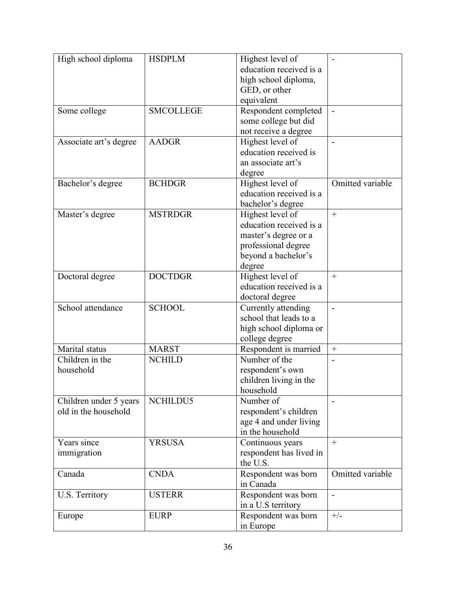| High school diploma                            | <b>HSDPLM</b>    | Highest level of                           |                          |
|------------------------------------------------|------------------|--------------------------------------------|--------------------------|
|                                                |                  | education received is a                    |                          |
|                                                |                  | high school diploma,                       |                          |
|                                                |                  | GED, or other                              |                          |
|                                                |                  | equivalent                                 |                          |
| Some college                                   | <b>SMCOLLEGE</b> | Respondent completed                       |                          |
|                                                |                  | some college but did                       |                          |
|                                                |                  | not receive a degree                       |                          |
| Associate art's degree                         | <b>AADGR</b>     | Highest level of                           |                          |
|                                                |                  | education received is                      |                          |
|                                                |                  | an associate art's                         |                          |
|                                                |                  | degree                                     |                          |
| Bachelor's degree                              | <b>BCHDGR</b>    | Highest level of                           | Omitted variable         |
|                                                |                  | education received is a                    |                          |
|                                                |                  | bachelor's degree                          |                          |
| Master's degree                                | <b>MSTRDGR</b>   | Highest level of                           | $+$                      |
|                                                |                  | education received is a                    |                          |
|                                                |                  | master's degree or a                       |                          |
|                                                |                  | professional degree                        |                          |
|                                                |                  | beyond a bachelor's                        |                          |
|                                                |                  | degree                                     |                          |
| Doctoral degree                                | <b>DOCTDGR</b>   | Highest level of                           | $+$                      |
|                                                |                  | education received is a                    |                          |
|                                                |                  | doctoral degree                            |                          |
| School attendance                              | <b>SCHOOL</b>    | Currently attending                        |                          |
|                                                |                  | school that leads to a                     | $\overline{\phantom{m}}$ |
|                                                |                  | high school diploma or                     |                          |
|                                                |                  | college degree                             |                          |
| Marital status                                 | <b>MARST</b>     | Respondent is married                      | $+$                      |
| Children in the                                | <b>NCHILD</b>    | Number of the                              |                          |
| household                                      |                  |                                            |                          |
|                                                |                  | respondent's own                           |                          |
|                                                |                  | children living in the                     |                          |
|                                                |                  | household<br>Number of                     |                          |
| Children under 5 years<br>old in the household | NCHILDU5         |                                            |                          |
|                                                |                  | respondent's children                      |                          |
|                                                |                  | age 4 and under living<br>in the household |                          |
|                                                |                  |                                            |                          |
| Years since                                    | <b>YRSUSA</b>    | Continuous years                           | $+$                      |
| immigration                                    |                  | respondent has lived in                    |                          |
|                                                |                  | the U.S.                                   |                          |
| Canada                                         | <b>CNDA</b>      | Respondent was born                        | Omitted variable         |
|                                                |                  | in Canada                                  |                          |
| U.S. Territory                                 | <b>USTERR</b>    | Respondent was born                        |                          |
|                                                |                  | in a U.S territory                         |                          |
| Europe                                         | <b>EURP</b>      | Respondent was born                        | $+/-$                    |
|                                                |                  | in Europe                                  |                          |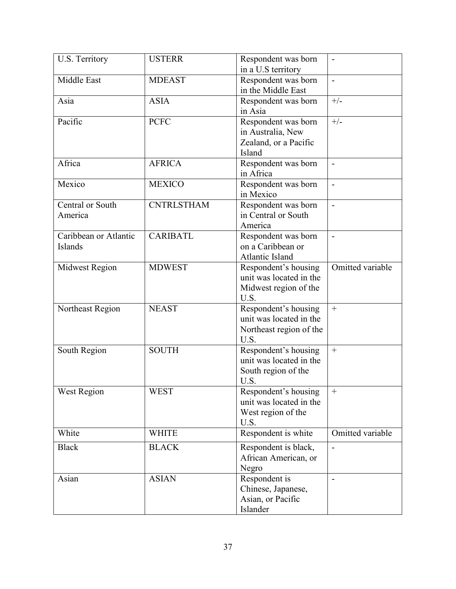| U.S. Territory        | <b>USTERR</b>     | Respondent was born<br>in a U.S territory | $\overline{\phantom{a}}$ |
|-----------------------|-------------------|-------------------------------------------|--------------------------|
| Middle East           | <b>MDEAST</b>     | Respondent was born                       |                          |
|                       |                   | in the Middle East                        |                          |
| Asia                  | <b>ASIA</b>       | Respondent was born                       | $+/-$                    |
|                       |                   | in Asia                                   |                          |
| Pacific               | <b>PCFC</b>       | Respondent was born                       | $+/-$                    |
|                       |                   | in Australia, New                         |                          |
|                       |                   | Zealand, or a Pacific                     |                          |
|                       |                   | Island                                    |                          |
| Africa                | <b>AFRICA</b>     | Respondent was born                       |                          |
|                       |                   | in Africa                                 |                          |
| Mexico                | <b>MEXICO</b>     | Respondent was born                       | $\overline{a}$           |
|                       |                   | in Mexico                                 |                          |
| Central or South      | <b>CNTRLSTHAM</b> | Respondent was born                       | $\blacksquare$           |
| America               |                   | in Central or South                       |                          |
|                       |                   | America                                   |                          |
| Caribbean or Atlantic | <b>CARIBATL</b>   | Respondent was born                       |                          |
| Islands               |                   | on a Caribbean or                         |                          |
|                       |                   | Atlantic Island                           |                          |
| Midwest Region        | <b>MDWEST</b>     | Respondent's housing                      | Omitted variable         |
|                       |                   | unit was located in the                   |                          |
|                       |                   | Midwest region of the                     |                          |
|                       |                   | U.S.                                      |                          |
| Northeast Region      | <b>NEAST</b>      | Respondent's housing                      | $+$                      |
|                       |                   | unit was located in the                   |                          |
|                       |                   | Northeast region of the                   |                          |
|                       |                   | U.S.                                      |                          |
| South Region          | <b>SOUTH</b>      | Respondent's housing                      | $+$                      |
|                       |                   | unit was located in the                   |                          |
|                       |                   | South region of the                       |                          |
|                       |                   | U.S.                                      |                          |
| <b>West Region</b>    | <b>WEST</b>       | Respondent's housing                      | $\boldsymbol{+}$         |
|                       |                   | unit was located in the                   |                          |
|                       |                   | West region of the                        |                          |
|                       |                   | U.S.                                      |                          |
| White                 | <b>WHITE</b>      | Respondent is white                       | Omitted variable         |
| <b>Black</b>          | <b>BLACK</b>      | Respondent is black,                      | $\blacksquare$           |
|                       |                   | African American, or                      |                          |
|                       |                   | Negro                                     |                          |
| Asian                 | <b>ASIAN</b>      | Respondent is                             | $\blacksquare$           |
|                       |                   | Chinese, Japanese,                        |                          |
|                       |                   | Asian, or Pacific                         |                          |
|                       |                   | Islander                                  |                          |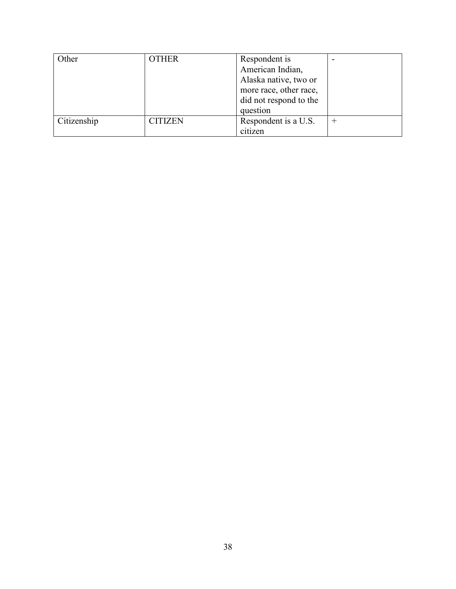| Other       | <b>OTHER</b>   | Respondent is<br>American Indian,<br>Alaska native, two or<br>more race, other race,<br>did not respond to the<br>question |  |
|-------------|----------------|----------------------------------------------------------------------------------------------------------------------------|--|
| Citizenship | <b>CITIZEN</b> | Respondent is a U.S.<br>citizen                                                                                            |  |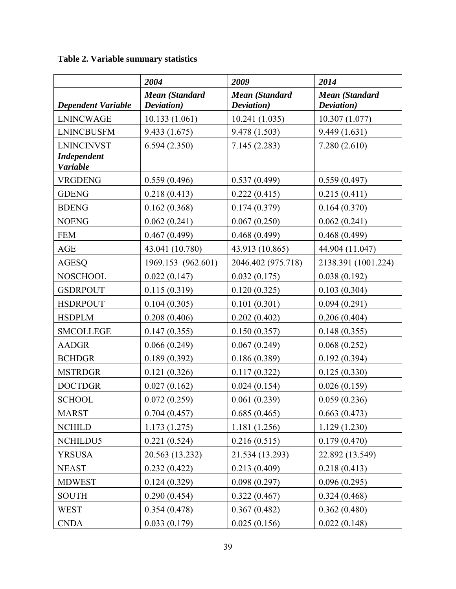**Table 2. Variable summary statistics**

|                                       | 2004                                | 2009                                | 2014                         |
|---------------------------------------|-------------------------------------|-------------------------------------|------------------------------|
| <b>Dependent Variable</b>             | <b>Mean (Standard</b><br>Deviation) | <b>Mean (Standard</b><br>Deviation) | Mean (Standard<br>Deviation) |
| <b>LNINCWAGE</b>                      | 10.133(1.061)                       | 10.241(1.035)                       | 10.307(1.077)                |
| <b>LNINCBUSFM</b>                     | 9.433(1.675)                        | 9.478(1.503)                        | 9.449(1.631)                 |
| <b>LNINCINVST</b>                     | 6.594(2.350)                        | 7.145(2.283)                        | 7.280(2.610)                 |
| <b>Independent</b><br><b>Variable</b> |                                     |                                     |                              |
| <b>VRGDENG</b>                        | 0.559(0.496)                        | 0.537(0.499)                        | 0.559(0.497)                 |
| <b>GDENG</b>                          | 0.218(0.413)                        | 0.222(0.415)                        | 0.215(0.411)                 |
| <b>BDENG</b>                          | 0.162(0.368)                        | 0.174(0.379)                        | 0.164(0.370)                 |
| <b>NOENG</b>                          | 0.062(0.241)                        | 0.067(0.250)                        | 0.062(0.241)                 |
| <b>FEM</b>                            | 0.467(0.499)                        | 0.468(0.499)                        | 0.468(0.499)                 |
| <b>AGE</b>                            | 43.041 (10.780)                     | 43.913 (10.865)                     | 44.904 (11.047)              |
| <b>AGESQ</b>                          | 1969.153 (962.601)                  | 2046.402 (975.718)                  | 2138.391 (1001.224)          |
| <b>NOSCHOOL</b>                       | 0.022(0.147)                        | 0.032(0.175)                        | 0.038(0.192)                 |
| <b>GSDRPOUT</b>                       | 0.115(0.319)                        | 0.120(0.325)                        | 0.103(0.304)                 |
| <b>HSDRPOUT</b>                       | 0.104(0.305)                        | 0.101(0.301)                        | 0.094(0.291)                 |
| <b>HSDPLM</b>                         | 0.208(0.406)                        | 0.202(0.402)                        | 0.206(0.404)                 |
| <b>SMCOLLEGE</b>                      | 0.147(0.355)                        | 0.150(0.357)                        | 0.148(0.355)                 |
| <b>AADGR</b>                          | 0.066(0.249)                        | 0.067(0.249)                        | 0.068(0.252)                 |
| <b>BCHDGR</b>                         | 0.189(0.392)                        | 0.186(0.389)                        | 0.192(0.394)                 |
| <b>MSTRDGR</b>                        | 0.121(0.326)                        | 0.117(0.322)                        | 0.125(0.330)                 |
| <b>DOCTDGR</b>                        | 0.027(0.162)                        | 0.024(0.154)                        | 0.026(0.159)                 |
| <b>SCHOOL</b>                         | 0.072(0.259)                        | 0.061(0.239)                        | 0.059(0.236)                 |
| <b>MARST</b>                          | 0.704(0.457)                        | 0.685(0.465)                        | 0.663(0.473)                 |
| <b>NCHILD</b>                         | 1.173(1.275)                        | 1.181(1.256)                        | 1.129(1.230)                 |
| NCHILDU5                              | 0.221(0.524)                        | 0.216(0.515)                        | 0.179(0.470)                 |
| <b>YRSUSA</b>                         | 20.563 (13.232)                     | 21.534 (13.293)                     | 22.892 (13.549)              |
| <b>NEAST</b>                          | 0.232(0.422)                        | 0.213(0.409)                        | 0.218(0.413)                 |
| <b>MDWEST</b>                         | 0.124(0.329)                        | 0.098(0.297)                        | 0.096(0.295)                 |
| <b>SOUTH</b>                          | 0.290(0.454)                        | 0.322(0.467)                        | 0.324(0.468)                 |
| <b>WEST</b>                           | 0.354(0.478)                        | 0.367(0.482)                        | 0.362(0.480)                 |
| <b>CNDA</b>                           | 0.033(0.179)                        | 0.025(0.156)                        | 0.022(0.148)                 |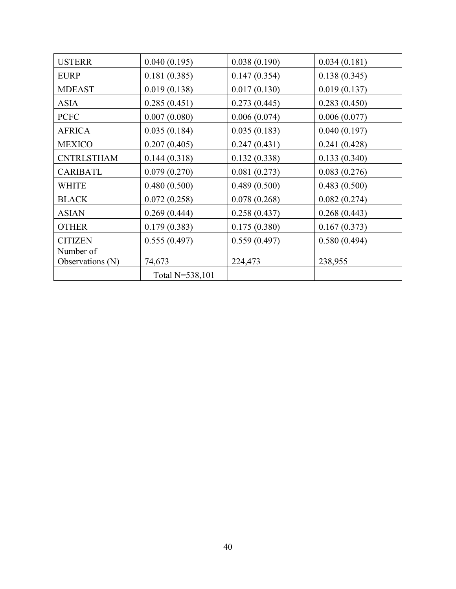| <b>USTERR</b>     | 0.040(0.195)    | 0.038(0.190) | 0.034(0.181) |
|-------------------|-----------------|--------------|--------------|
| <b>EURP</b>       | 0.181(0.385)    | 0.147(0.354) | 0.138(0.345) |
| <b>MDEAST</b>     | 0.019(0.138)    | 0.017(0.130) | 0.019(0.137) |
| <b>ASIA</b>       | 0.285(0.451)    | 0.273(0.445) | 0.283(0.450) |
| <b>PCFC</b>       | 0.007(0.080)    | 0.006(0.074) | 0.006(0.077) |
| <b>AFRICA</b>     | 0.035(0.184)    | 0.035(0.183) | 0.040(0.197) |
| <b>MEXICO</b>     | 0.207(0.405)    | 0.247(0.431) | 0.241(0.428) |
| <b>CNTRLSTHAM</b> | 0.144(0.318)    | 0.132(0.338) | 0.133(0.340) |
| <b>CARIBATL</b>   | 0.079(0.270)    | 0.081(0.273) | 0.083(0.276) |
| <b>WHITE</b>      | 0.480(0.500)    | 0.489(0.500) | 0.483(0.500) |
| <b>BLACK</b>      | 0.072(0.258)    | 0.078(0.268) | 0.082(0.274) |
| <b>ASIAN</b>      | 0.269(0.444)    | 0.258(0.437) | 0.268(0.443) |
| <b>OTHER</b>      | 0.179(0.383)    | 0.175(0.380) | 0.167(0.373) |
| <b>CITIZEN</b>    | 0.555(0.497)    | 0.559(0.497) | 0.580(0.494) |
| Number of         |                 |              |              |
| Observations (N)  | 74,673          | 224,473      | 238,955      |
|                   | Total N=538,101 |              |              |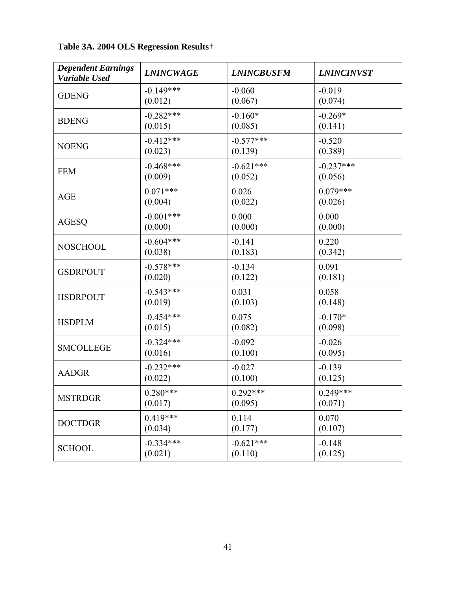| <b>Dependent Earnings</b><br>Variable Used | <b>LNINCWAGE</b> | <b>LNINCBUSFM</b> | <b>LNINCINVST</b> |
|--------------------------------------------|------------------|-------------------|-------------------|
| <b>GDENG</b>                               | $-0.149***$      | $-0.060$          | $-0.019$          |
|                                            | (0.012)          | (0.067)           | (0.074)           |
| <b>BDENG</b>                               | $-0.282***$      | $-0.160*$         | $-0.269*$         |
|                                            | (0.015)          | (0.085)           | (0.141)           |
| <b>NOENG</b>                               | $-0.412***$      | $-0.577***$       | $-0.520$          |
|                                            | (0.023)          | (0.139)           | (0.389)           |
| <b>FEM</b>                                 | $-0.468***$      | $-0.621***$       | $-0.237***$       |
|                                            | (0.009)          | (0.052)           | (0.056)           |
| <b>AGE</b>                                 | $0.071***$       | 0.026             | $0.079***$        |
|                                            | (0.004)          | (0.022)           | (0.026)           |
| <b>AGESQ</b>                               | $-0.001***$      | 0.000             | 0.000             |
|                                            | (0.000)          | (0.000)           | (0.000)           |
| <b>NOSCHOOL</b>                            | $-0.604***$      | $-0.141$          | 0.220             |
|                                            | (0.038)          | (0.183)           | (0.342)           |
| <b>GSDRPOUT</b>                            | $-0.578***$      | $-0.134$          | 0.091             |
|                                            | (0.020)          | (0.122)           | (0.181)           |
| <b>HSDRPOUT</b>                            | $-0.543***$      | 0.031             | 0.058             |
|                                            | (0.019)          | (0.103)           | (0.148)           |
| <b>HSDPLM</b>                              | $-0.454***$      | 0.075             | $-0.170*$         |
|                                            | (0.015)          | (0.082)           | (0.098)           |
| <b>SMCOLLEGE</b>                           | $-0.324***$      | $-0.092$          | $-0.026$          |
|                                            | (0.016)          | (0.100)           | (0.095)           |
| <b>AADGR</b>                               | $-0.232***$      | $-0.027$          | $-0.139$          |
|                                            | (0.022)          | (0.100)           | (0.125)           |
| <b>MSTRDGR</b>                             | $0.280***$       | $0.292***$        | $0.249***$        |
|                                            | (0.017)          | (0.095)           | (0.071)           |
| <b>DOCTDGR</b>                             | $0.419***$       | 0.114             | 0.070             |
|                                            | (0.034)          | (0.177)           | (0.107)           |
| <b>SCHOOL</b>                              | $-0.334***$      | $-0.621***$       | $-0.148$          |
|                                            | (0.021)          | (0.110)           | (0.125)           |

**Table 3A. 2004 OLS Regression Results**†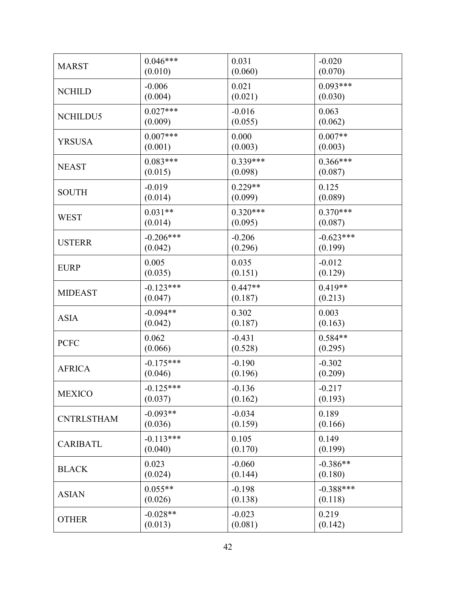| <b>MARST</b>      | $0.046***$  | 0.031      | $-0.020$    |
|-------------------|-------------|------------|-------------|
|                   | (0.010)     | (0.060)    | (0.070)     |
| <b>NCHILD</b>     | $-0.006$    | 0.021      | $0.093***$  |
|                   | (0.004)     | (0.021)    | (0.030)     |
| NCHILDU5          | $0.027***$  | $-0.016$   | 0.063       |
|                   | (0.009)     | (0.055)    | (0.062)     |
| <b>YRSUSA</b>     | $0.007***$  | 0.000      | $0.007**$   |
|                   | (0.001)     | (0.003)    | (0.003)     |
| <b>NEAST</b>      | $0.083***$  | $0.339***$ | $0.366***$  |
|                   | (0.015)     | (0.098)    | (0.087)     |
| <b>SOUTH</b>      | $-0.019$    | $0.229**$  | 0.125       |
|                   | (0.014)     | (0.099)    | (0.089)     |
| <b>WEST</b>       | $0.031**$   | $0.320***$ | $0.370***$  |
|                   | (0.014)     | (0.095)    | (0.087)     |
| <b>USTERR</b>     | $-0.206***$ | $-0.206$   | $-0.623***$ |
|                   | (0.042)     | (0.296)    | (0.199)     |
| <b>EURP</b>       | 0.005       | 0.035      | $-0.012$    |
|                   | (0.035)     | (0.151)    | (0.129)     |
| <b>MIDEAST</b>    | $-0.123***$ | $0.447**$  | $0.419**$   |
|                   | (0.047)     | (0.187)    | (0.213)     |
| <b>ASIA</b>       | $-0.094**$  | 0.302      | 0.003       |
|                   | (0.042)     | (0.187)    | (0.163)     |
| <b>PCFC</b>       | 0.062       | $-0.431$   | $0.584**$   |
|                   | (0.066)     | (0.528)    | (0.295)     |
| <b>AFRICA</b>     | $-0.175***$ | $-0.190$   | $-0.302$    |
|                   | (0.046)     | (0.196)    | (0.209)     |
| <b>MEXICO</b>     | $-0.125***$ | $-0.136$   | $-0.217$    |
|                   | (0.037)     | (0.162)    | (0.193)     |
| <b>CNTRLSTHAM</b> | $-0.093**$  | $-0.034$   | 0.189       |
|                   | (0.036)     | (0.159)    | (0.166)     |
| <b>CARIBATL</b>   | $-0.113***$ | 0.105      | 0.149       |
|                   | (0.040)     | (0.170)    | (0.199)     |
| <b>BLACK</b>      | 0.023       | $-0.060$   | $-0.386**$  |
|                   | (0.024)     | (0.144)    | (0.180)     |
| <b>ASIAN</b>      | $0.055**$   | $-0.198$   | $-0.388***$ |
|                   | (0.026)     | (0.138)    | (0.118)     |
| <b>OTHER</b>      | $-0.028**$  | $-0.023$   | 0.219       |
|                   | (0.013)     | (0.081)    | (0.142)     |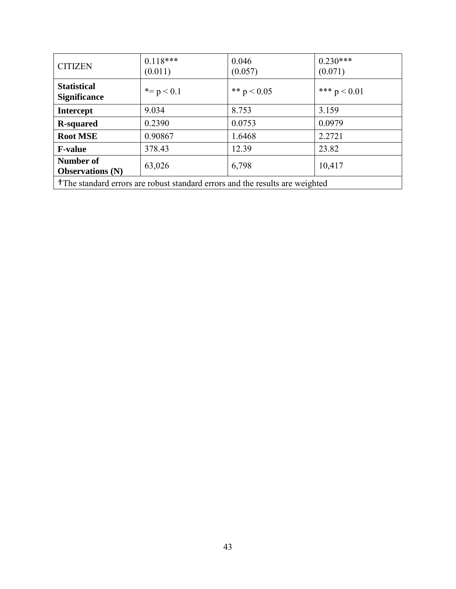| <b>CITIZEN</b>                                                                           | $0.118***$<br>(0.011) | 0.046<br>(0.057) | $0.230***$<br>(0.071) |
|------------------------------------------------------------------------------------------|-----------------------|------------------|-----------------------|
| <b>Statistical</b><br><b>Significance</b>                                                | $* = p < 0.1$         | ** $p < 0.05$    | *** $p < 0.01$        |
| <b>Intercept</b>                                                                         | 9.034                 | 8.753            | 3.159                 |
| <b>R-squared</b>                                                                         | 0.2390                | 0.0753           | 0.0979                |
| <b>Root MSE</b>                                                                          | 0.90867               | 1.6468           | 2.2721                |
| <b>F-value</b>                                                                           | 378.43                | 12.39            | 23.82                 |
| Number of<br><b>Observations (N)</b>                                                     | 63,026                | 6,798            | 10,417                |
| <sup>†</sup> The standard errors are robust standard errors and the results are weighted |                       |                  |                       |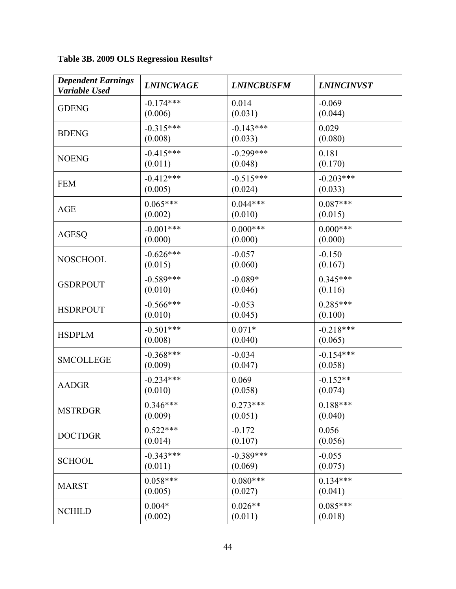**Table 3B. 2009 OLS Regression Results**†

| <b>Dependent Earnings</b><br>Variable Used | <b>LNINCWAGE</b> | <b>LNINCBUSFM</b> | <b>LNINCINVST</b> |
|--------------------------------------------|------------------|-------------------|-------------------|
| <b>GDENG</b>                               | $-0.174***$      | 0.014             | $-0.069$          |
|                                            | (0.006)          | (0.031)           | (0.044)           |
| <b>BDENG</b>                               | $-0.315***$      | $-0.143***$       | 0.029             |
|                                            | (0.008)          | (0.033)           | (0.080)           |
| <b>NOENG</b>                               | $-0.415***$      | $-0.299***$       | 0.181             |
|                                            | (0.011)          | (0.048)           | (0.170)           |
| <b>FEM</b>                                 | $-0.412***$      | $-0.515***$       | $-0.203***$       |
|                                            | (0.005)          | (0.024)           | (0.033)           |
| <b>AGE</b>                                 | $0.065***$       | $0.044***$        | $0.087***$        |
|                                            | (0.002)          | (0.010)           | (0.015)           |
| AGESQ                                      | $-0.001***$      | $0.000***$        | $0.000***$        |
|                                            | (0.000)          | (0.000)           | (0.000)           |
| <b>NOSCHOOL</b>                            | $-0.626***$      | $-0.057$          | $-0.150$          |
|                                            | (0.015)          | (0.060)           | (0.167)           |
| <b>GSDRPOUT</b>                            | $-0.589***$      | $-0.089*$         | $0.345***$        |
|                                            | (0.010)          | (0.046)           | (0.116)           |
| <b>HSDRPOUT</b>                            | $-0.566***$      | $-0.053$          | $0.285***$        |
|                                            | (0.010)          | (0.045)           | (0.100)           |
| <b>HSDPLM</b>                              | $-0.501***$      | $0.071*$          | $-0.218***$       |
|                                            | (0.008)          | (0.040)           | (0.065)           |
| <b>SMCOLLEGE</b>                           | $-0.368***$      | $-0.034$          | $-0.154***$       |
|                                            | (0.009)          | (0.047)           | (0.058)           |
| <b>AADGR</b>                               | $-0.234***$      | 0.069             | $-0.152**$        |
|                                            | (0.010)          | (0.058)           | (0.074)           |
| <b>MSTRDGR</b>                             | $0.346***$       | $0.273***$        | $0.188***$        |
|                                            | (0.009)          | (0.051)           | (0.040)           |
| <b>DOCTDGR</b>                             | $0.522***$       | $-0.172$          | 0.056             |
|                                            | (0.014)          | (0.107)           | (0.056)           |
| <b>SCHOOL</b>                              | $-0.343***$      | $-0.389***$       | $-0.055$          |
|                                            | (0.011)          | (0.069)           | (0.075)           |
| <b>MARST</b>                               | $0.058***$       | $0.080***$        | $0.134***$        |
|                                            | (0.005)          | (0.027)           | (0.041)           |
| <b>NCHILD</b>                              | $0.004*$         | $0.026**$         | $0.085***$        |
|                                            | (0.002)          | (0.011)           | (0.018)           |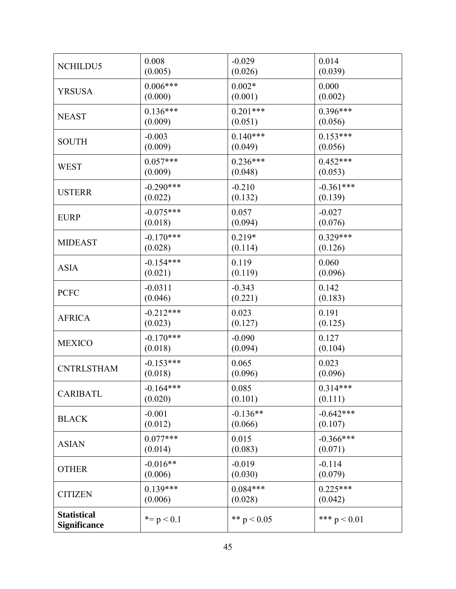| NCHILDU5                                  | 0.008         | $-0.029$      | 0.014          |
|-------------------------------------------|---------------|---------------|----------------|
|                                           | (0.005)       | (0.026)       | (0.039)        |
| YRSUSA                                    | $0.006***$    | $0.002*$      | 0.000          |
|                                           | (0.000)       | (0.001)       | (0.002)        |
| <b>NEAST</b>                              | $0.136***$    | $0.201***$    | 0.396***       |
|                                           | (0.009)       | (0.051)       | (0.056)        |
| <b>SOUTH</b>                              | $-0.003$      | $0.140***$    | $0.153***$     |
|                                           | (0.009)       | (0.049)       | (0.056)        |
| <b>WEST</b>                               | $0.057***$    | $0.236***$    | $0.452***$     |
|                                           | (0.009)       | (0.048)       | (0.053)        |
| <b>USTERR</b>                             | $-0.290***$   | $-0.210$      | $-0.361***$    |
|                                           | (0.022)       | (0.132)       | (0.139)        |
| <b>EURP</b>                               | $-0.075***$   | 0.057         | $-0.027$       |
|                                           | (0.018)       | (0.094)       | (0.076)        |
| <b>MIDEAST</b>                            | $-0.170***$   | $0.219*$      | $0.329***$     |
|                                           | (0.028)       | (0.114)       | (0.126)        |
| <b>ASIA</b>                               | $-0.154***$   | 0.119         | 0.060          |
|                                           | (0.021)       | (0.119)       | (0.096)        |
| <b>PCFC</b>                               | $-0.0311$     | $-0.343$      | 0.142          |
|                                           | (0.046)       | (0.221)       | (0.183)        |
| <b>AFRICA</b>                             | $-0.212***$   | 0.023         | 0.191          |
|                                           | (0.023)       | (0.127)       | (0.125)        |
| <b>MEXICO</b>                             | $-0.170***$   | $-0.090$      | 0.127          |
|                                           | (0.018)       | (0.094)       | (0.104)        |
| <b>CNTRLSTHAM</b>                         | $-0.153***$   | 0.065         | 0.023          |
|                                           | (0.018)       | (0.096)       | (0.096)        |
| <b>CARIBATL</b>                           | $-0.164***$   | 0.085         | $0.314***$     |
|                                           | (0.020)       | (0.101)       | (0.111)        |
| <b>BLACK</b>                              | $-0.001$      | $-0.136**$    | $-0.642***$    |
|                                           | (0.012)       | (0.066)       | (0.107)        |
| <b>ASIAN</b>                              | $0.077***$    | 0.015         | $-0.366***$    |
|                                           | (0.014)       | (0.083)       | (0.071)        |
| <b>OTHER</b>                              | $-0.016**$    | $-0.019$      | $-0.114$       |
|                                           | (0.006)       | (0.030)       | (0.079)        |
| <b>CITIZEN</b>                            | $0.139***$    | $0.084***$    | $0.225***$     |
|                                           | (0.006)       | (0.028)       | (0.042)        |
| <b>Statistical</b><br><b>Significance</b> | $* = p < 0.1$ | ** $p < 0.05$ | *** $p < 0.01$ |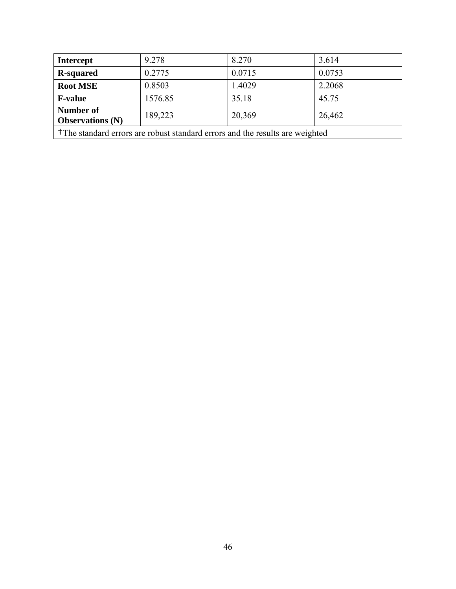| <b>Intercept</b>                                                                         | 9.278   | 8.270  | 3.614  |
|------------------------------------------------------------------------------------------|---------|--------|--------|
| <b>R-squared</b>                                                                         | 0.2775  | 0.0715 | 0.0753 |
| <b>Root MSE</b>                                                                          | 0.8503  | 1.4029 | 2.2068 |
| <b>F-value</b>                                                                           | 1576.85 | 35.18  | 45.75  |
| <b>Number of</b><br><b>Observations (N)</b>                                              | 189,223 | 20,369 | 26,462 |
| <sup>†</sup> The standard errors are robust standard errors and the results are weighted |         |        |        |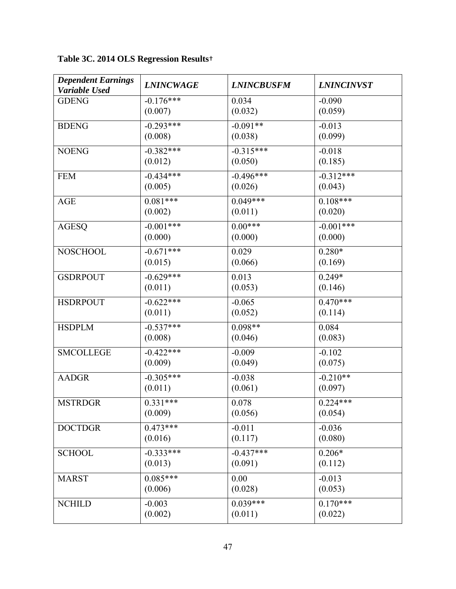**Table 3C. 2014 OLS Regression Results**†

| <b>Dependent Earnings</b><br>Variable Used | <b>LNINCWAGE</b> | <b>LNINCBUSFM</b> | <b>LNINCINVST</b> |
|--------------------------------------------|------------------|-------------------|-------------------|
| <b>GDENG</b>                               | $-0.176***$      | 0.034             | $-0.090$          |
|                                            | (0.007)          | (0.032)           | (0.059)           |
| <b>BDENG</b>                               | $-0.293***$      | $-0.091**$        | $-0.013$          |
|                                            | (0.008)          | (0.038)           | (0.099)           |
| <b>NOENG</b>                               | $-0.382***$      | $-0.315***$       | $-0.018$          |
|                                            | (0.012)          | (0.050)           | (0.185)           |
| <b>FEM</b>                                 | $-0.434***$      | $-0.496***$       | $-0.312***$       |
|                                            | (0.005)          | (0.026)           | (0.043)           |
| <b>AGE</b>                                 | $0.081***$       | $0.049***$        | $0.108***$        |
|                                            | (0.002)          | (0.011)           | (0.020)           |
| <b>AGESQ</b>                               | $-0.001***$      | $0.00***$         | $-0.001***$       |
|                                            | (0.000)          | (0.000)           | (0.000)           |
| <b>NOSCHOOL</b>                            | $-0.671***$      | 0.029             | $0.280*$          |
|                                            | (0.015)          | (0.066)           | (0.169)           |
| <b>GSDRPOUT</b>                            | $-0.629***$      | 0.013             | $0.249*$          |
|                                            | (0.011)          | (0.053)           | (0.146)           |
| <b>HSDRPOUT</b>                            | $-0.622***$      | $-0.065$          | $0.470***$        |
|                                            | (0.011)          | (0.052)           | (0.114)           |
| <b>HSDPLM</b>                              | $-0.537***$      | $0.098**$         | 0.084             |
|                                            | (0.008)          | (0.046)           | (0.083)           |
| <b>SMCOLLEGE</b>                           | $-0.422***$      | $-0.009$          | $-0.102$          |
|                                            | (0.009)          | (0.049)           | (0.075)           |
| <b>AADGR</b>                               | $-0.305***$      | $-0.038$          | $-0.210**$        |
|                                            | (0.011)          | (0.061)           | (0.097)           |
| <b>MSTRDGR</b>                             | $0.331***$       | 0.078             | $0.224***$        |
|                                            | (0.009)          | (0.056)           | (0.054)           |
| <b>DOCTDGR</b>                             | $0.473***$       | $-0.011$          | $-0.036$          |
|                                            | (0.016)          | (0.117)           | (0.080)           |
| <b>SCHOOL</b>                              | $-0.333***$      | $-0.437***$       | $0.206*$          |
|                                            | (0.013)          | (0.091)           | (0.112)           |
| <b>MARST</b>                               | $0.085***$       | 0.00              | $-0.013$          |
|                                            | (0.006)          | (0.028)           | (0.053)           |
| <b>NCHILD</b>                              | $-0.003$         | $0.039***$        | $0.170***$        |
|                                            | (0.002)          | (0.011)           | (0.022)           |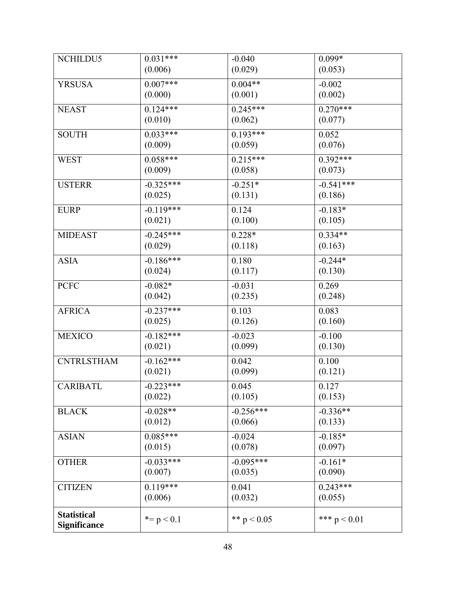| NCHILDU5            | $0.031***$    | $-0.040$      | $0.099*$       |
|---------------------|---------------|---------------|----------------|
|                     | (0.006)       | (0.029)       | (0.053)        |
| <b>YRSUSA</b>       | $0.007***$    | $0.004**$     | $-0.002$       |
|                     | (0.000)       | (0.001)       | (0.002)        |
| <b>NEAST</b>        | $0.124***$    | $0.245***$    | $0.270***$     |
|                     | (0.010)       | (0.062)       | (0.077)        |
| <b>SOUTH</b>        | $0.033***$    | $0.193***$    | 0.052          |
|                     | (0.009)       | (0.059)       | (0.076)        |
| <b>WEST</b>         | $0.058***$    | $0.215***$    | $0.392***$     |
|                     | (0.009)       | (0.058)       | (0.073)        |
| <b>USTERR</b>       | $-0.325***$   | $-0.251*$     | $-0.541***$    |
|                     | (0.025)       | (0.131)       | (0.186)        |
| <b>EURP</b>         | $-0.119***$   | 0.124         | $-0.183*$      |
|                     | (0.021)       | (0.100)       | (0.105)        |
| <b>MIDEAST</b>      | $-0.245***$   | $0.228*$      | $0.334**$      |
|                     | (0.029)       | (0.118)       | (0.163)        |
| <b>ASIA</b>         | $-0.186***$   | 0.180         | $-0.244*$      |
|                     | (0.024)       | (0.117)       | (0.130)        |
| <b>PCFC</b>         | $-0.082*$     | $-0.031$      | 0.269          |
|                     | (0.042)       | (0.235)       | (0.248)        |
| <b>AFRICA</b>       | $-0.237***$   | 0.103         | 0.083          |
|                     | (0.025)       | (0.126)       | (0.160)        |
| <b>MEXICO</b>       | $-0.182***$   | $-0.023$      | $-0.100$       |
|                     | (0.021)       | (0.099)       | (0.130)        |
| <b>CNTRLSTHAM</b>   | $-0.162***$   | 0.042         | 0.100          |
|                     | (0.021)       | (0.099)       | (0.121)        |
| <b>CARIBATL</b>     | $-0.223***$   | 0.045         | 0.127          |
|                     | (0.022)       | (0.105)       | (0.153)        |
| <b>BLACK</b>        | $-0.028**$    | $-0.256***$   | $-0.336**$     |
|                     | (0.012)       | (0.066)       | (0.133)        |
| <b>ASIAN</b>        | $0.085***$    | $-0.024$      | $-0.185*$      |
|                     | (0.015)       | (0.078)       | (0.097)        |
| <b>OTHER</b>        | $-0.033***$   | $-0.095***$   | $-0.161*$      |
|                     | (0.007)       | (0.035)       | (0.090)        |
| <b>CITIZEN</b>      | $0.119***$    | 0.041         | $0.243***$     |
|                     | (0.006)       | (0.032)       | (0.055)        |
| <b>Statistical</b>  | $* = p < 0.1$ | ** $p < 0.05$ | *** $p < 0.01$ |
| <b>Significance</b> |               |               |                |